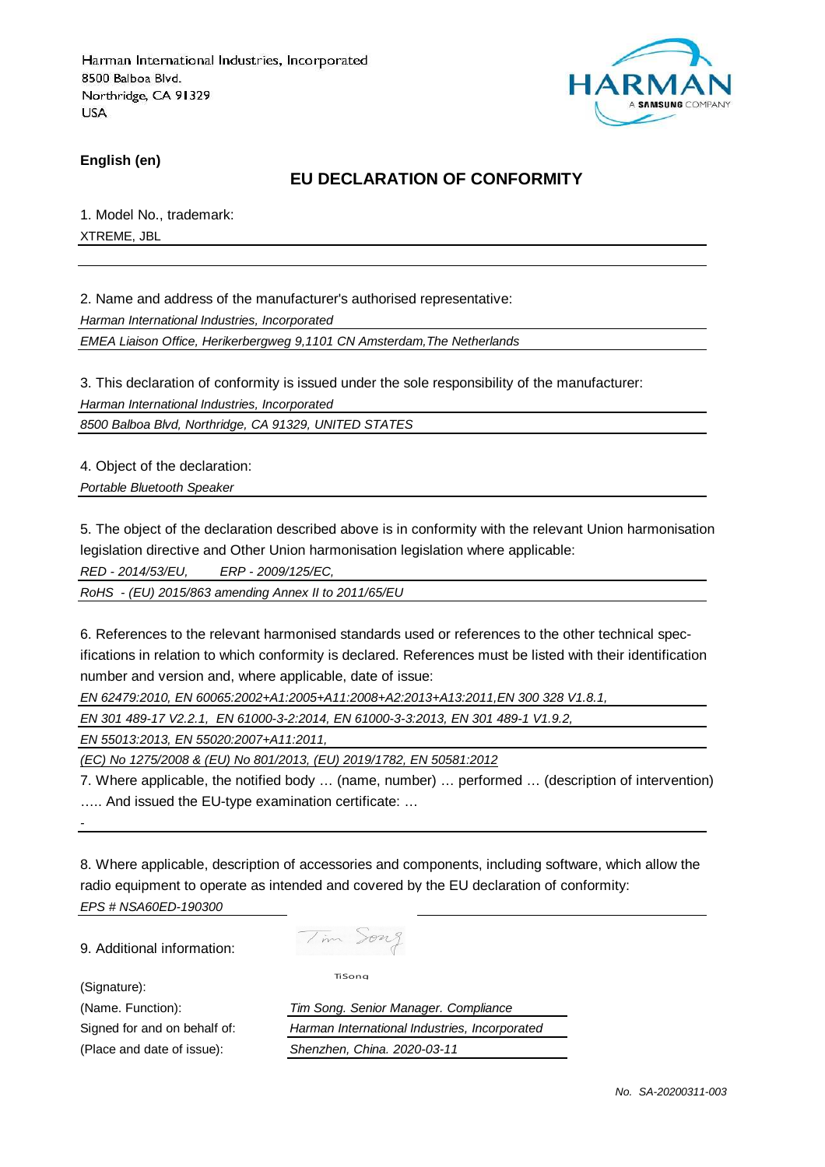

**English (en)**

## **EU DECLARATION OF CONFORMITY**

1. Model No., trademark: XTREME, JBL

2. Name and address of the manufacturer's authorised representative:

Harman International Industries, Incorporated

EMEA Liaison Office, Herikerbergweg 9,1101 CN Amsterdam,The Netherlands

3. This declaration of conformity is issued under the sole responsibility of the manufacturer:

Harman International Industries, Incorporated

8500 Balboa Blvd, Northridge, CA 91329, UNITED STATES

4. Object of the declaration:

Portable Bluetooth Speaker

5. The object of the declaration described above is in conformity with the relevant Union harmonisation legislation directive and Other Union harmonisation legislation where applicable:

RED - 2014/53/EU, ERP - 2009/125/EC,

RoHS - (EU) 2015/863 amending Annex II to 2011/65/EU

6. References to the relevant harmonised standards used or references to the other technical specifications in relation to which conformity is declared. References must be listed with their identification number and version and, where applicable, date of issue:

EN 62479:2010, EN 60065:2002+A1:2005+A11:2008+A2:2013+A13:2011,EN 300 328 V1.8.1,

EN 301 489-17 V2.2.1, EN 61000-3-2:2014, EN 61000-3-3:2013, EN 301 489-1 V1.9.2,

EN 55013:2013, EN 55020:2007+A11:2011,

(EC) No 1275/2008 & (EU) No 801/2013, (EU) 2019/1782, EN 50581:2012

7. Where applicable, the notified body … (name, number) … performed … (description of intervention) ….. And issued the EU-type examination certificate: …

8. Where applicable, description of accessories and components, including software, which allow the radio equipment to operate as intended and covered by the EU declaration of conformity: EPS # NSA60ED-190300

9. Additional information:

(Signature):

-

Tim Song

TiSong

(Name. Function): Tim Song. Senior Manager. Compliance Signed for and on behalf of: Harman International Industries, Incorporated (Place and date of issue): Shenzhen, China. 2020-03-11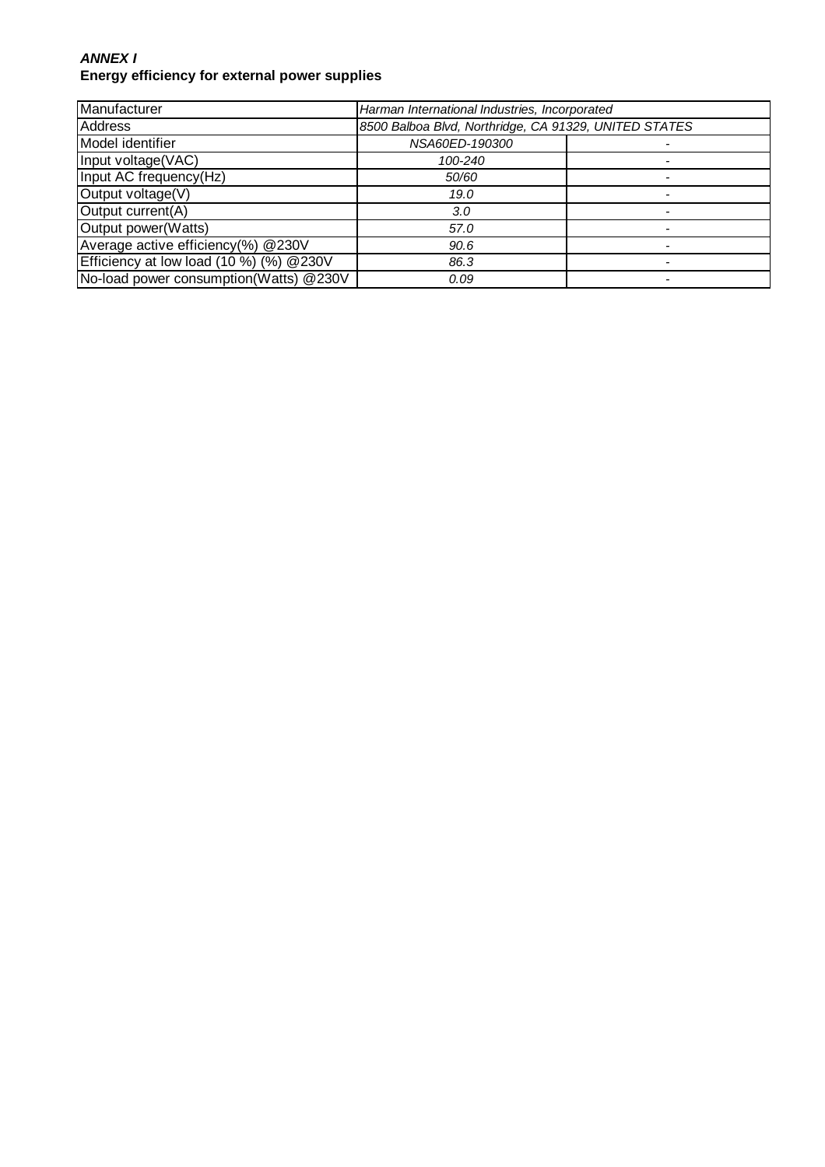#### **ANNEX I Energy efficiency for external power supplies**

| Manufacturer                            | Harman International Industries, Incorporated         |  |
|-----------------------------------------|-------------------------------------------------------|--|
| <b>Address</b>                          | 8500 Balboa Blvd, Northridge, CA 91329, UNITED STATES |  |
| Model identifier                        | NSA60ED-190300                                        |  |
| Input voltage(VAC)                      | 100-240                                               |  |
| Input AC frequency(Hz)                  | 50/60                                                 |  |
| Output voltage(V)                       | 19.0                                                  |  |
| Output current(A)                       | 3.0                                                   |  |
| Output power(Watts)                     | 57.0                                                  |  |
| Average active efficiency(%) @230V      | 90.6                                                  |  |
| Efficiency at low load (10 %) (%) @230V | 86.3                                                  |  |
| No-load power consumption(Watts) @230V  | 0.09                                                  |  |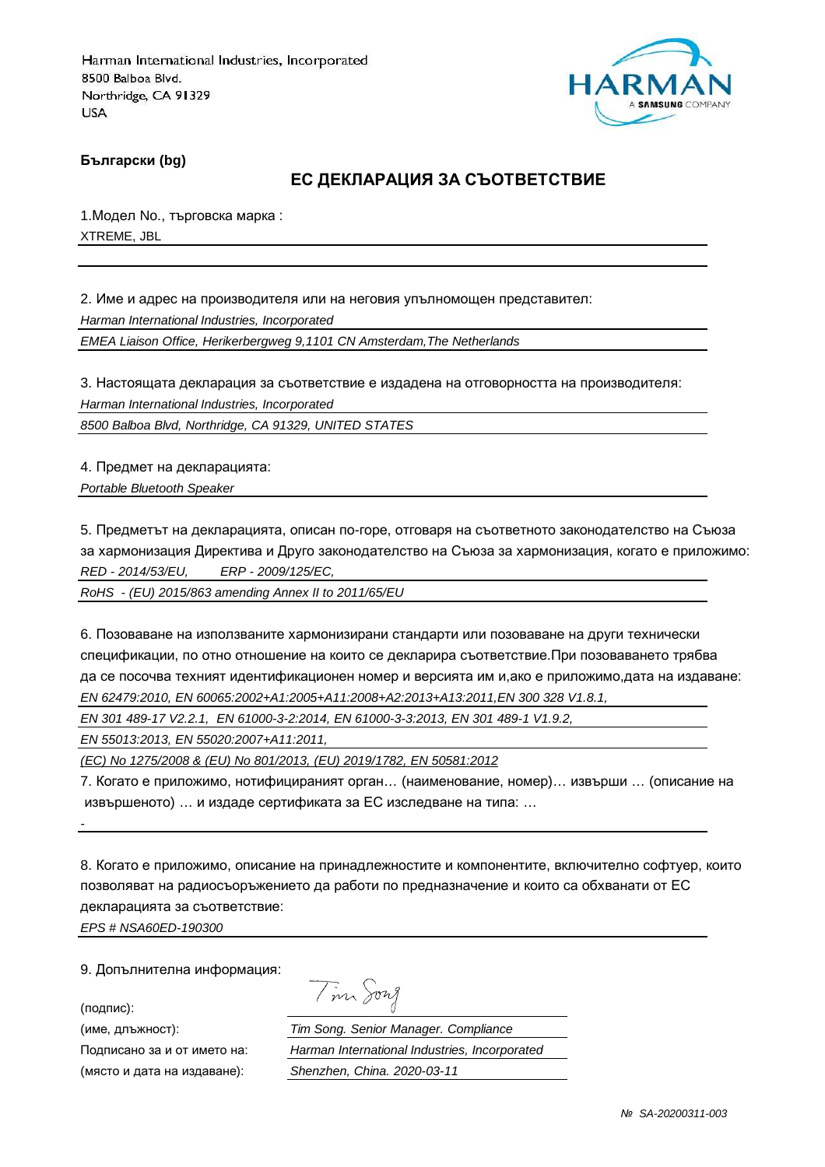

**Български (bg)**

## **ЕС ДЕКЛАРАЦИЯ ЗА СЪОТВЕТСТВИЕ**

1.Модел No., търговска марка : XTREME, JBL

2. Име и адрес на производителя или на неговия упълномощен представител: Harman International Industries, Incorporated EMEA Liaison Office, Herikerbergweg 9,1101 CN Amsterdam,The Netherlands

3. Настоящата декларация за съответствие е издадена на отговорността на производителя: Harman International Industries, Incorporated

8500 Balboa Blvd, Northridge, CA 91329, UNITED STATES

4. Предмет на декларацията: Portable Bluetooth Speaker

5. Предметът на декларацията, описан по-горе, отговаря на съответното законодателство на Съюза за хармонизация Директива и Друго законодателство на Съюза за хармонизация, когато е приложимо: RED - 2014/53/EU, ERP - 2009/125/EC,

RoHS - (EU) 2015/863 amending Annex II to 2011/65/EU

6. Позоваване на използваните хармонизирани стандарти или позоваване на други технически спецификации, по отно отношение на които се декларира съответствие.При позоваването трябва да се посочва техният идентификационен номер и версията им и,ако е приложимо,дата на издаване: EN 62479:2010, EN 60065:2002+A1:2005+A11:2008+A2:2013+A13:2011,EN 300 328 V1.8.1,

EN 301 489-17 V2.2.1, EN 61000-3-2:2014, EN 61000-3-3:2013, EN 301 489-1 V1.9.2,

EN 55013:2013, EN 55020:2007+A11:2011,

(EC) No 1275/2008 & (EU) No 801/2013, (EU) 2019/1782, EN 50581:2012

7. Когато е приложимо, нотифицираният орган… (наименование, номер)… извърши … (описание на извършеното) … и издаде сертификата за ЕС изследване на типа: …

8. Когато е приложимо, описание на принадлежностите и компонентите, включително софтуер, които позволяват на радиосъоръжението да работи по предназначение и които са обхванати от ЕС декларацията за съответствие:

EPS # NSA60ED-190300

9. Допълнителна информация:

(подпис):

-

(място и дата на издаване): Shenzhen, China. 2020-03-11

Tim Song

(име, длъжност): Tim Song. Senior Manager. Compliance Подписано за и от името на: Harman International Industries, Incorporated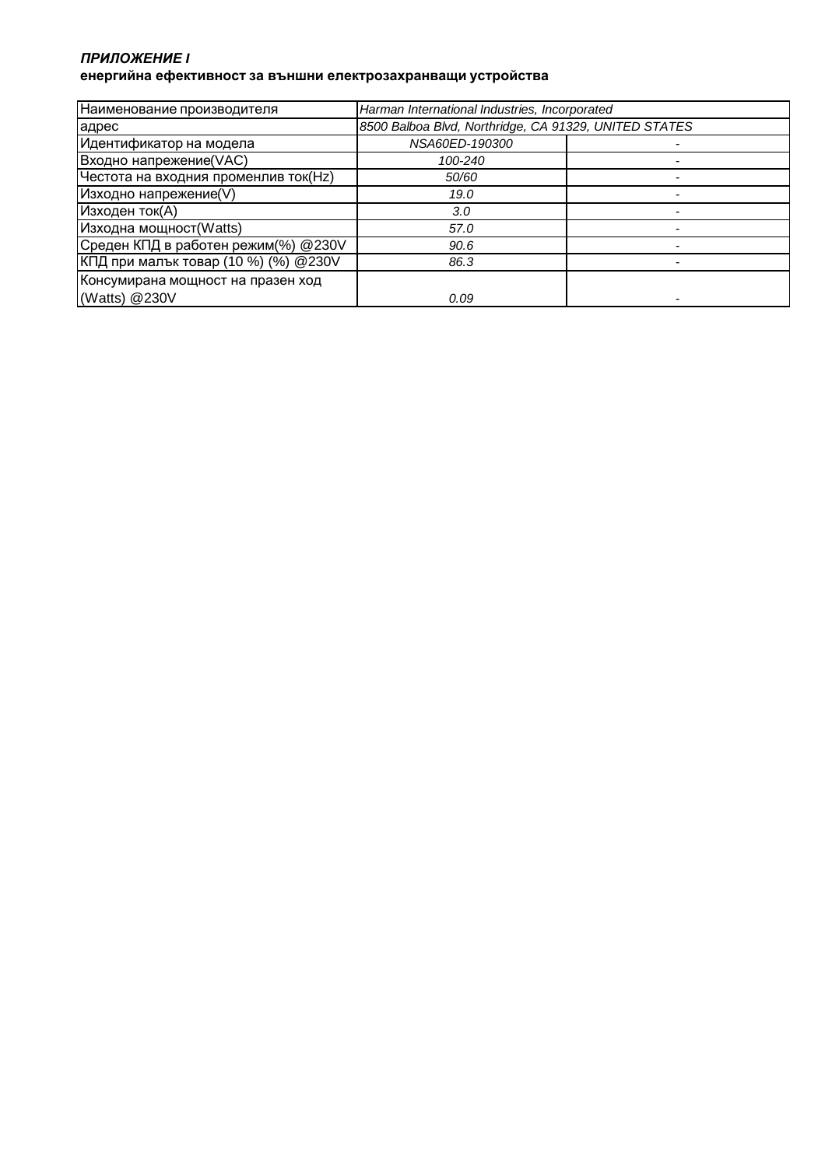#### *ПРИЛОЖЕНИЕ* **I енергийна ефективност за външни електрозахранващи устройства**

| Наименование производителя           | Harman International Industries, Incorporated         |  |
|--------------------------------------|-------------------------------------------------------|--|
| адрес                                | 8500 Balboa Blvd, Northridge, CA 91329, UNITED STATES |  |
| Идентификатор на модела              | NSA60ED-190300                                        |  |
| Входно напрежение(VAC)               | 100-240                                               |  |
| Честота на входния променлив ток(Hz) | 50/60                                                 |  |
| Изходно напрежение(V)                | 19.0                                                  |  |
| Изходен ток(А)                       | 3.0                                                   |  |
| Изходна мощност(Watts)               | 57.0                                                  |  |
| Среден КПД в работен режим(%) @230V  | 90.6                                                  |  |
| КПД при малък товар (10 %) (%) @230V | 86.3                                                  |  |
| Консумирана мощност на празен ход    |                                                       |  |
| (Watts) @230V                        | 0.09                                                  |  |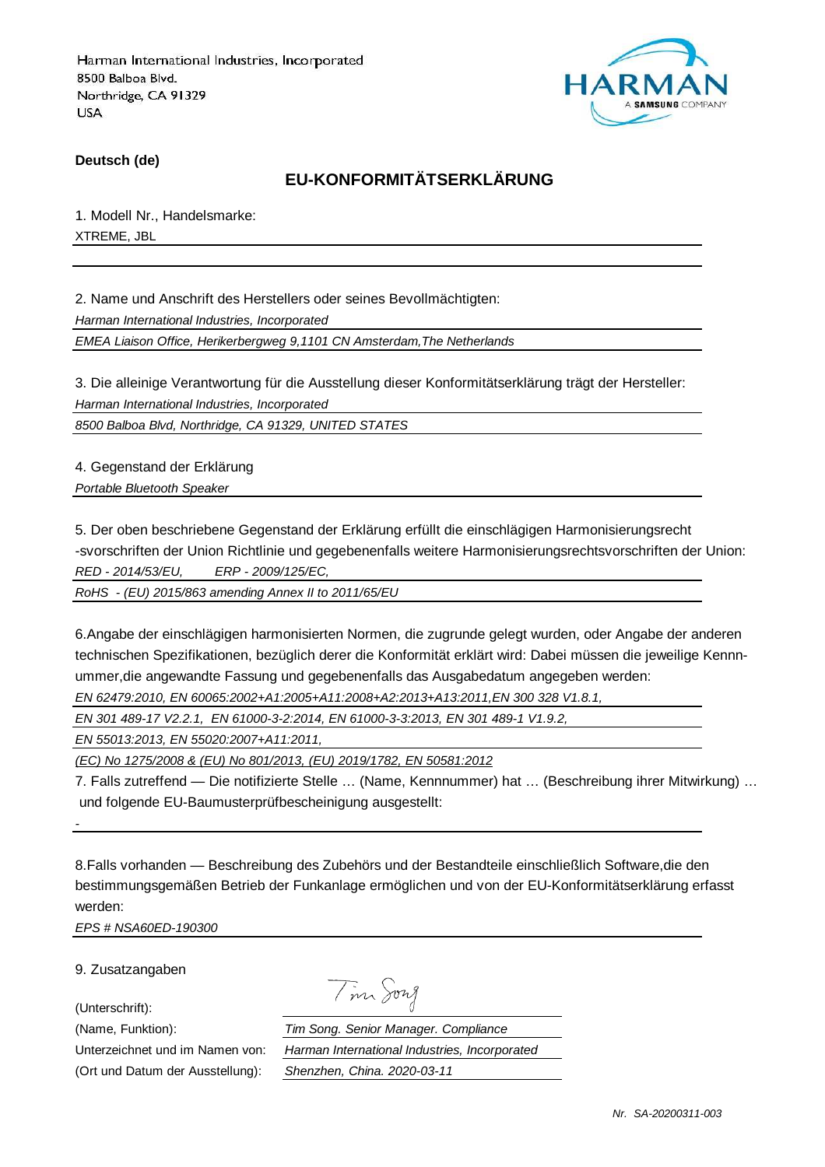

**Deutsch (de)**

## **EU-KONFORMITÄTSERKLÄRUNG**

1. Modell Nr., Handelsmarke: XTREME, JBL

2. Name und Anschrift des Herstellers oder seines Bevollmächtigten: Harman International Industries, Incorporated EMEA Liaison Office, Herikerbergweg 9,1101 CN Amsterdam,The Netherlands

3. Die alleinige Verantwortung für die Ausstellung dieser Konformitätserklärung trägt der Hersteller: Harman International Industries, Incorporated

8500 Balboa Blvd, Northridge, CA 91329, UNITED STATES

4. Gegenstand der Erklärung Portable Bluetooth Speaker

5. Der oben beschriebene Gegenstand der Erklärung erfüllt die einschlägigen Harmonisierungsrecht -svorschriften der Union Richtlinie und gegebenenfalls weitere Harmonisierungsrechtsvorschriften der Union: RED - 2014/53/EU, ERP - 2009/125/EC,

RoHS - (EU) 2015/863 amending Annex II to 2011/65/EU

6.Angabe der einschlägigen harmonisierten Normen, die zugrunde gelegt wurden, oder Angabe der anderen technischen Spezifikationen, bezüglich derer die Konformität erklärt wird: Dabei müssen die jeweilige Kennnummer,die angewandte Fassung und gegebenenfalls das Ausgabedatum angegeben werden: EN 62479:2010, EN 60065:2002+A1:2005+A11:2008+A2:2013+A13:2011,EN 300 328 V1.8.1,

EN 301 489-17 V2.2.1, EN 61000-3-2:2014, EN 61000-3-3:2013, EN 301 489-1 V1.9.2,

EN 55013:2013, EN 55020:2007+A11:2011,

(EC) No 1275/2008 & (EU) No 801/2013, (EU) 2019/1782, EN 50581:2012

7. Falls zutreffend — Die notifizierte Stelle … (Name, Kennnummer) hat … (Beschreibung ihrer Mitwirkung) … und folgende EU-Baumusterprüfbescheinigung ausgestellt:

8.Falls vorhanden — Beschreibung des Zubehörs und der Bestandteile einschließlich Software,die den bestimmungsgemäßen Betrieb der Funkanlage ermöglichen und von der EU-Konformitätserklärung erfasst werden:

EPS # NSA60ED-190300

9. Zusatzangaben

(Unterschrift):

-

Tim Song

(Name, Funktion): Tim Song. Senior Manager. Compliance Unterzeichnet und im Namen von: Harman International Industries, Incorporated (Ort und Datum der Ausstellung): Shenzhen, China. 2020-03-11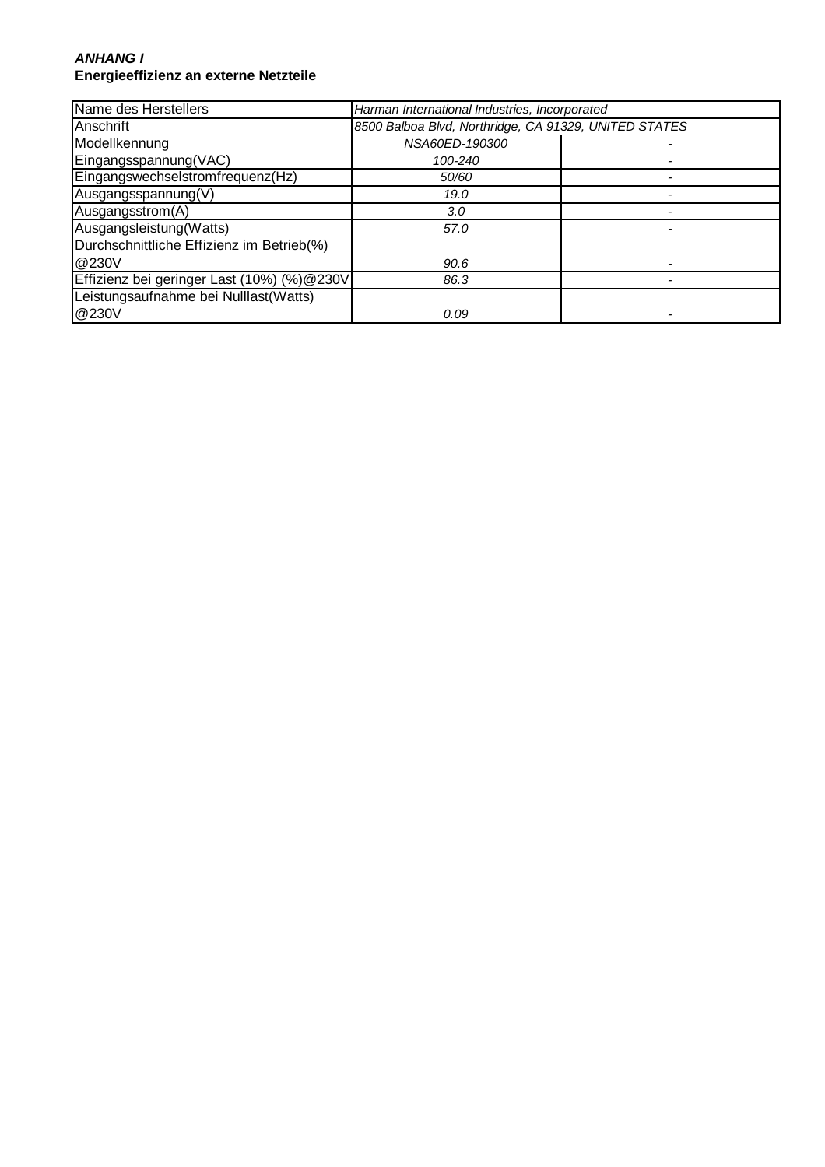#### **ANHANG I Energieeffizienz an externe Netzteile**

| Name des Herstellers                       | Harman International Industries, Incorporated         |  |
|--------------------------------------------|-------------------------------------------------------|--|
| Anschrift                                  | 8500 Balboa Blvd, Northridge, CA 91329, UNITED STATES |  |
| Modellkennung                              | NSA60ED-190300                                        |  |
| Eingangsspannung(VAC)                      | 100-240                                               |  |
| Eingangswechselstromfrequenz(Hz)           | 50/60                                                 |  |
| Ausgangsspannung(V)                        | 19.0                                                  |  |
| Ausgangsstrom(A)                           | 3.0                                                   |  |
| Ausgangsleistung (Watts)                   | 57.0                                                  |  |
| Durchschnittliche Effizienz im Betrieb(%)  |                                                       |  |
| @230V                                      | 90.6                                                  |  |
| Effizienz bei geringer Last (10%) (%)@230V | 86.3                                                  |  |
| Leistungsaufnahme bei Nulllast(Watts)      |                                                       |  |
| @230V                                      | 0.09                                                  |  |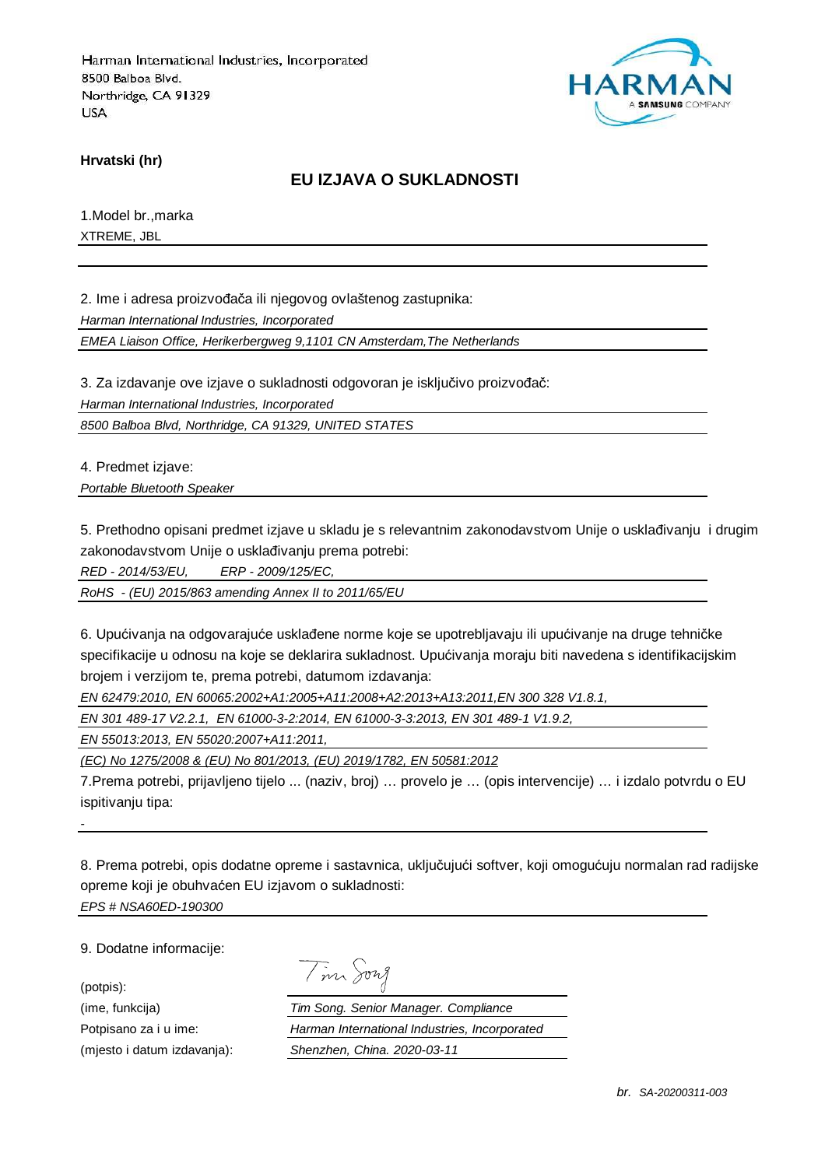

**Hrvatski (hr)**

## **EU IZJAVA O SUKLADNOSTI**

1.Model br.,marka XTREME, JBL

2. Ime i adresa proizvođača ili njegovog ovlaštenog zastupnika:

Harman International Industries, Incorporated

EMEA Liaison Office, Herikerbergweg 9,1101 CN Amsterdam,The Netherlands

3. Za izdavanje ove izjave o sukladnosti odgovoran je isključivo proizvođač:

Harman International Industries, Incorporated

8500 Balboa Blvd, Northridge, CA 91329, UNITED STATES

4. Predmet izjave:

Portable Bluetooth Speaker

5. Prethodno opisani predmet izjave u skladu je s relevantnim zakonodavstvom Unije o usklađivanju i drugim zakonodavstvom Unije o usklađivanju prema potrebi:

RED - 2014/53/EU, ERP - 2009/125/EC,

RoHS - (EU) 2015/863 amending Annex II to 2011/65/EU

6. Upućivanja na odgovarajuće usklađene norme koje se upotrebljavaju ili upućivanje na druge tehničke specifikacije u odnosu na koje se deklarira sukladnost. Upućivanja moraju biti navedena s identifikacijskim brojem i verzijom te, prema potrebi, datumom izdavanja:

EN 62479:2010, EN 60065:2002+A1:2005+A11:2008+A2:2013+A13:2011,EN 300 328 V1.8.1,

EN 301 489-17 V2.2.1, EN 61000-3-2:2014, EN 61000-3-3:2013, EN 301 489-1 V1.9.2,

EN 55013:2013, EN 55020:2007+A11:2011,

(EC) No 1275/2008 & (EU) No 801/2013, (EU) 2019/1782, EN 50581:2012

7.Prema potrebi, prijavljeno tijelo ... (naziv, broj) … provelo je … (opis intervencije) … i izdalo potvrdu o EU ispitivanju tipa:

8. Prema potrebi, opis dodatne opreme i sastavnica, uključujući softver, koji omogućuju normalan rad radijske opreme koji je obuhvaćen EU izjavom o sukladnosti: EPS # NSA60ED-190300

9. Dodatne informacije:

-

(potpis):

Tim Song

(ime, funkcija) Tim Song. Senior Manager. Compliance Potpisano za i u ime: Harman International Industries, Incorporated (mjesto i datum izdavanja): Shenzhen, China. 2020-03-11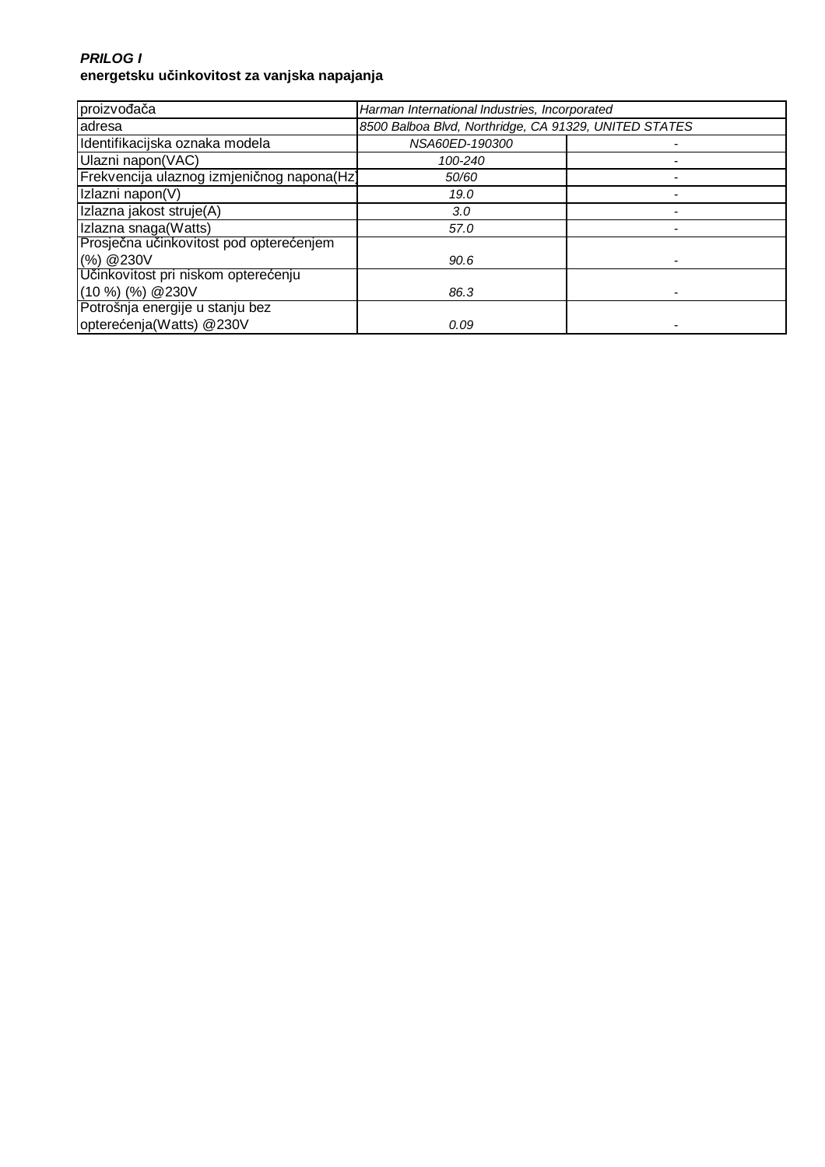### **PRILOG I energetsku učinkovitost za vanjska napajanja**

| proizvođača                                | Harman International Industries, Incorporated         |  |
|--------------------------------------------|-------------------------------------------------------|--|
| adresa                                     | 8500 Balboa Blvd, Northridge, CA 91329, UNITED STATES |  |
| Identifikacijska oznaka modela             | NSA60ED-190300                                        |  |
| Ulazni napon(VAC)                          | 100-240                                               |  |
| Frekvencija ulaznog izmjeničnog napona(Hz) | 50/60                                                 |  |
| Izlazni napon(V)                           | 19.0                                                  |  |
| Izlazna jakost struje(A)                   | 3.0                                                   |  |
| Izlazna snaga(Watts)                       | 57.0                                                  |  |
| Prosječna učinkovitost pod opterećenjem    |                                                       |  |
| (%) @ 230V                                 | 90.6                                                  |  |
| Učinkovitost pri niskom opterećenju        |                                                       |  |
| $(10 %)$ $%$ $(%)$ $@230V$                 | 86.3                                                  |  |
| Potrošnja energije u stanju bez            |                                                       |  |
| opterećenja(Watts) @230V                   | 0.09                                                  |  |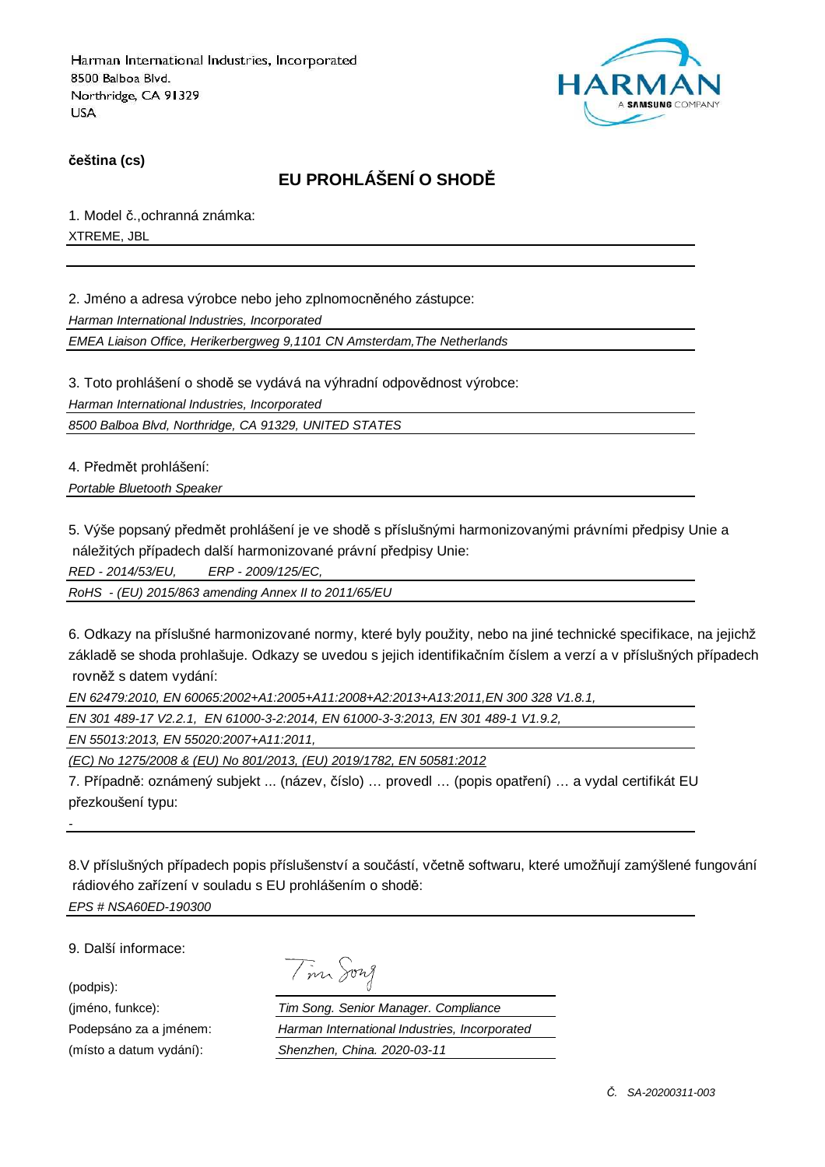

**čeština (cs)**

# **EU PROHLÁŠENÍ O SHODĚ**

1. Model č.,ochranná známka: XTREME, JBL

2. Jméno a adresa výrobce nebo jeho zplnomocněného zástupce:

Harman International Industries, Incorporated

EMEA Liaison Office, Herikerbergweg 9,1101 CN Amsterdam,The Netherlands

3. Toto prohlášení o shodě se vydává na výhradní odpovědnost výrobce:

Harman International Industries, Incorporated

8500 Balboa Blvd, Northridge, CA 91329, UNITED STATES

4. Předmět prohlášení:

Portable Bluetooth Speaker

5. Výše popsaný předmět prohlášení je ve shodě s příslušnými harmonizovanými právními předpisy Unie a náležitých případech další harmonizované právní předpisy Unie:

RED - 2014/53/EU, ERP - 2009/125/EC,

RoHS - (EU) 2015/863 amending Annex II to 2011/65/EU

6. Odkazy na příslušné harmonizované normy, které byly použity, nebo na jiné technické specifikace, na jejichž základě se shoda prohlašuje. Odkazy se uvedou s jejich identifikačním číslem a verzí a v příslušných případech rovněž s datem vydání:

EN 62479:2010, EN 60065:2002+A1:2005+A11:2008+A2:2013+A13:2011,EN 300 328 V1.8.1,

EN 301 489-17 V2.2.1, EN 61000-3-2:2014, EN 61000-3-3:2013, EN 301 489-1 V1.9.2,

EN 55013:2013, EN 55020:2007+A11:2011,

(EC) No 1275/2008 & (EU) No 801/2013, (EU) 2019/1782, EN 50581:2012

7. Případně: oznámený subjekt ... (název, číslo) … provedl … (popis opatření) … a vydal certifikát EU přezkoušení typu:

8.V příslušných případech popis příslušenství a součástí, včetně softwaru, které umožňují zamýšlené fungování rádiového zařízení v souladu s EU prohlášením o shodě: EPS # NSA60ED-190300

9. Další informace:

(podpis):

-

Tim Song

(jméno, funkce): Tim Song. Senior Manager. Compliance Podepsáno za a jménem: Harman International Industries, Incorporated (místo a datum vydání): Shenzhen, China. 2020-03-11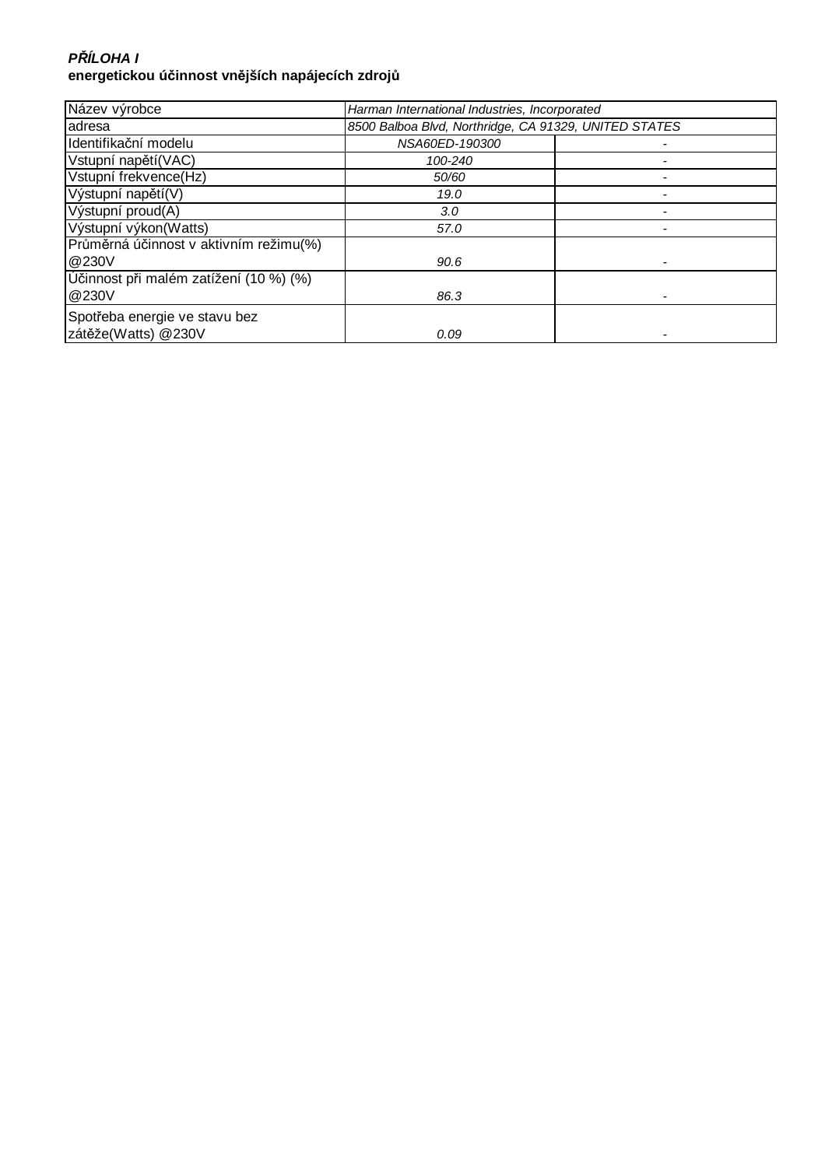## **P***Ř***ÍLOHA I energetickou účinnost vnějších napájecích zdrojů**

| Název výrobce                          | Harman International Industries, Incorporated         |  |
|----------------------------------------|-------------------------------------------------------|--|
| adresa                                 | 8500 Balboa Blvd, Northridge, CA 91329, UNITED STATES |  |
| Identifikační modelu                   | NSA60ED-190300                                        |  |
| Vstupní napětí(VAC)                    | 100-240                                               |  |
| Vstupní frekvence(Hz)                  | 50/60                                                 |  |
| Výstupní napětí(V)                     | 19.0                                                  |  |
| Výstupní proud(A)                      | 3.0                                                   |  |
| Výstupní výkon(Watts)                  | 57.0                                                  |  |
| Průměrná účinnost v aktivním režimu(%) |                                                       |  |
| @230V                                  | 90.6                                                  |  |
| Účinnost při malém zatížení (10 %) (%) |                                                       |  |
| @230V                                  | 86.3                                                  |  |
| Spotřeba energie ve stavu bez          |                                                       |  |
| zátěže(Watts) @230V                    | 0.09                                                  |  |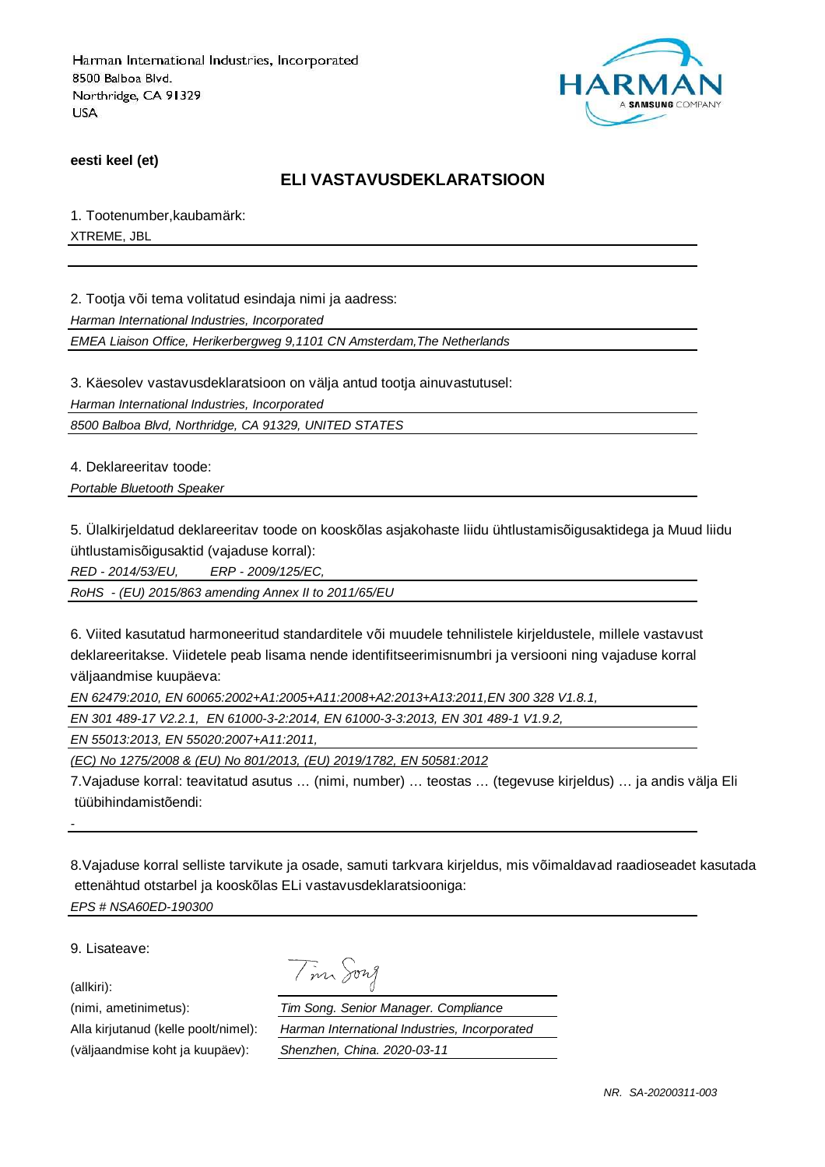

**eesti keel (et)**

## **ELI VASTAVUSDEKLARATSIOON**

1. Tootenumber,kaubamärk: XTREME, JBL

2. Tootja või tema volitatud esindaja nimi ja aadress:

Harman International Industries, Incorporated

EMEA Liaison Office, Herikerbergweg 9,1101 CN Amsterdam,The Netherlands

3. Käesolev vastavusdeklaratsioon on välja antud tootja ainuvastutusel:

Harman International Industries, Incorporated

8500 Balboa Blvd, Northridge, CA 91329, UNITED STATES

4. Deklareeritav toode:

Portable Bluetooth Speaker

5. Ülalkirjeldatud deklareeritav toode on kooskõlas asjakohaste liidu ühtlustamisõigusaktidega ja Muud liidu ühtlustamisõigusaktid (vajaduse korral):

RED - 2014/53/EU, ERP - 2009/125/EC,

RoHS - (EU) 2015/863 amending Annex II to 2011/65/EU

6. Viited kasutatud harmoneeritud standarditele või muudele tehnilistele kirjeldustele, millele vastavust deklareeritakse. Viidetele peab lisama nende identifitseerimisnumbri ja versiooni ning vajaduse korral väljaandmise kuupäeva:

EN 62479:2010, EN 60065:2002+A1:2005+A11:2008+A2:2013+A13:2011,EN 300 328 V1.8.1,

Tim Song

EN 301 489-17 V2.2.1, EN 61000-3-2:2014, EN 61000-3-3:2013, EN 301 489-1 V1.9.2,

EN 55013:2013, EN 55020:2007+A11:2011,

(EC) No 1275/2008 & (EU) No 801/2013, (EU) 2019/1782, EN 50581:2012

7.Vajaduse korral: teavitatud asutus … (nimi, number) … teostas … (tegevuse kirjeldus) … ja andis välja Eli tüübihindamistõendi:

8.Vajaduse korral selliste tarvikute ja osade, samuti tarkvara kirjeldus, mis võimaldavad raadioseadet kasutada ettenähtud otstarbel ja kooskõlas ELi vastavusdeklaratsiooniga: EPS # NSA60ED-190300

9. Lisateave:

(allkiri):

-

(nimi, ametinimetus): Tim Song. Senior Manager. Compliance Alla kirjutanud (kelle poolt/nimel): Harman International Industries, Incorporated (väljaandmise koht ja kuupäev): Shenzhen, China. 2020-03-11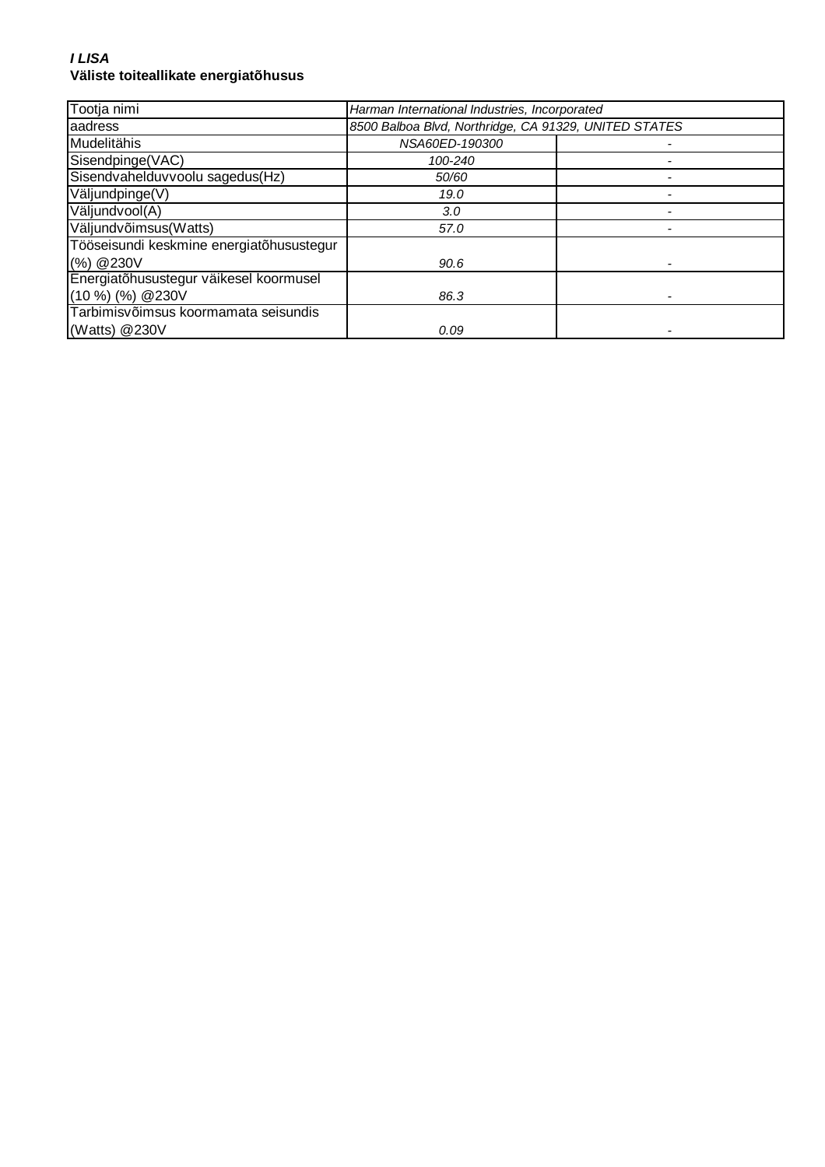#### **I LISA Väliste toiteallikate energiatõhusus**

| Tootja nimi                              | Harman International Industries, Incorporated         |  |
|------------------------------------------|-------------------------------------------------------|--|
| aadress                                  | 8500 Balboa Blvd, Northridge, CA 91329, UNITED STATES |  |
| Mudelitähis                              | NSA60ED-190300                                        |  |
| Sisendpinge(VAC)                         | 100-240                                               |  |
| Sisendvahelduvvoolu sagedus(Hz)          | 50/60                                                 |  |
| Väljundpinge(V)                          | 19.0                                                  |  |
| Väljundvool(A)                           | 3.0                                                   |  |
| Väljundvõimsus(Watts)                    | 57.0                                                  |  |
| Tööseisundi keskmine energiatõhusustegur |                                                       |  |
| (%) @ 230V                               | 90.6                                                  |  |
| Energiatõhusustegur väikesel koormusel   |                                                       |  |
| $(10\%)$ (%) @ 230V                      | 86.3                                                  |  |
| Tarbimisvõimsus koormamata seisundis     |                                                       |  |
| (Watts) $@230V$                          | 0.09                                                  |  |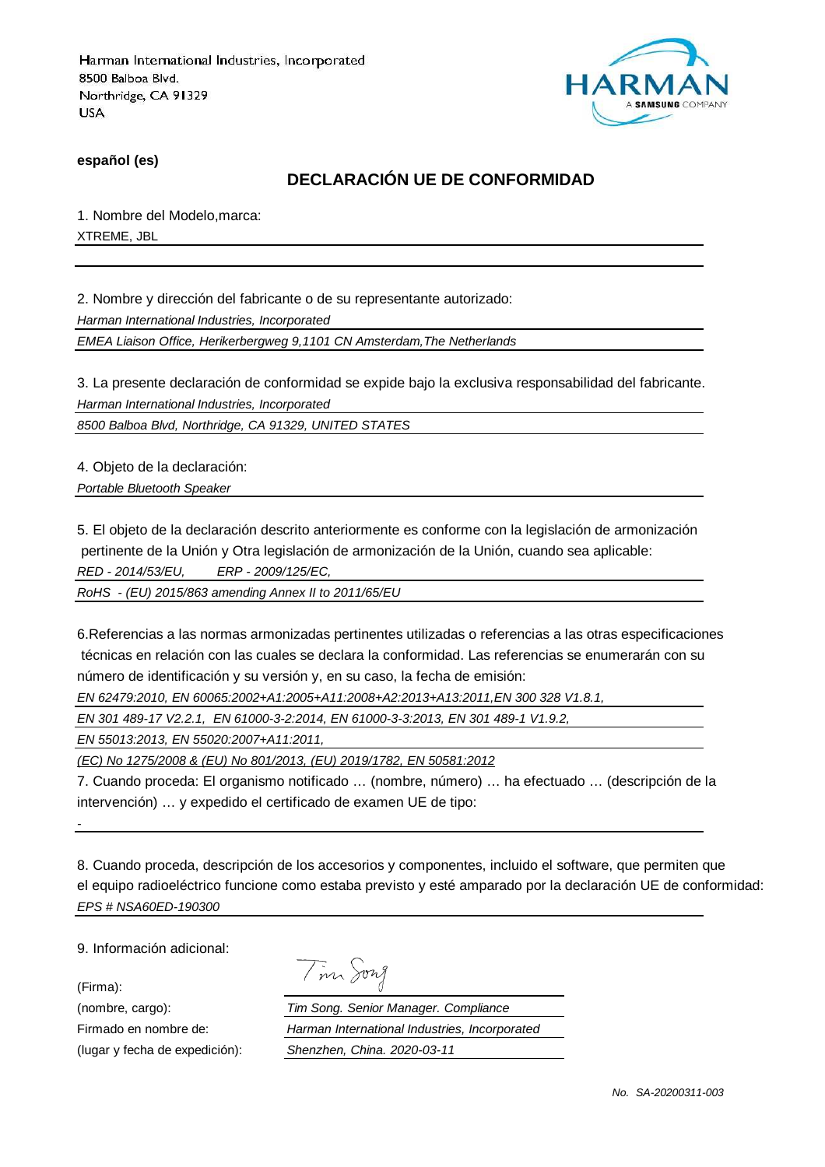

**español (es)**

## **DECLARACIÓN UE DE CONFORMIDAD**

1. Nombre del Modelo,marca: XTREME, JBL

2. Nombre y dirección del fabricante o de su representante autorizado:

Harman International Industries, Incorporated

EMEA Liaison Office, Herikerbergweg 9,1101 CN Amsterdam,The Netherlands

3. La presente declaración de conformidad se expide bajo la exclusiva responsabilidad del fabricante. Harman International Industries, Incorporated

8500 Balboa Blvd, Northridge, CA 91329, UNITED STATES

4. Objeto de la declaración:

Portable Bluetooth Speaker

5. El objeto de la declaración descrito anteriormente es conforme con la legislación de armonización pertinente de la Unión y Otra legislación de armonización de la Unión, cuando sea aplicable: RED - 2014/53/EU, ERP - 2009/125/EC,

RoHS - (EU) 2015/863 amending Annex II to 2011/65/EU

6.Referencias a las normas armonizadas pertinentes utilizadas o referencias a las otras especificaciones técnicas en relación con las cuales se declara la conformidad. Las referencias se enumerarán con su número de identificación y su versión y, en su caso, la fecha de emisión:

EN 62479:2010, EN 60065:2002+A1:2005+A11:2008+A2:2013+A13:2011,EN 300 328 V1.8.1,

EN 301 489-17 V2.2.1, EN 61000-3-2:2014, EN 61000-3-3:2013, EN 301 489-1 V1.9.2,

EN 55013:2013, EN 55020:2007+A11:2011,

(EC) No 1275/2008 & (EU) No 801/2013, (EU) 2019/1782, EN 50581:2012

7. Cuando proceda: El organismo notificado … (nombre, número) … ha efectuado … (descripción de la intervención) … y expedido el certificado de examen UE de tipo:

8. Cuando proceda, descripción de los accesorios y componentes, incluido el software, que permiten que el equipo radioeléctrico funcione como estaba previsto y esté amparado por la declaración UE de conformidad: EPS # NSA60ED-190300

9. Información adicional:

(Firma):

-

|  | vw<br>$\prime$ |
|--|----------------|
|  |                |

(nombre, cargo): Tim Song. Senior Manager. Compliance Firmado en nombre de: Harman International Industries, Incorporated (lugar y fecha de expedición): Shenzhen, China. 2020-03-11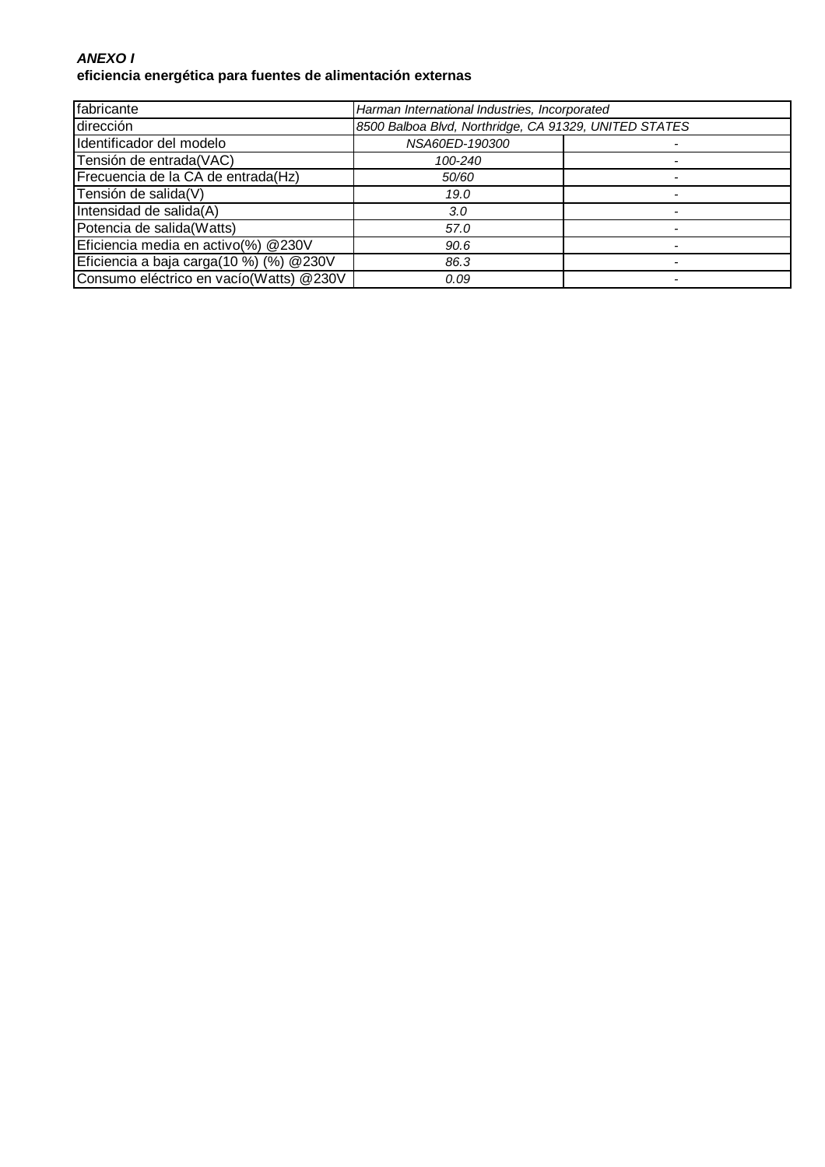### **ANEXO I eficiencia energética para fuentes de alimentación externas**

| fabricante                              | Harman International Industries, Incorporated         |  |
|-----------------------------------------|-------------------------------------------------------|--|
| dirección                               | 8500 Balboa Blvd, Northridge, CA 91329, UNITED STATES |  |
| Identificador del modelo                | NSA60ED-190300                                        |  |
| Tensión de entrada(VAC)                 | 100-240                                               |  |
| Frecuencia de la CA de entrada(Hz)      | 50/60                                                 |  |
| Tensión de salida(V)                    | 19.0                                                  |  |
| Intensidad de salida(A)                 | 3.0                                                   |  |
| Potencia de salida(Watts)               | 57.0                                                  |  |
| Eficiencia media en activo(%) @230V     | 90.6                                                  |  |
| Eficiencia a baja carga(10 %) (%) @230V | 86.3                                                  |  |
| Consumo eléctrico en vacío(Watts) @230V | 0.09                                                  |  |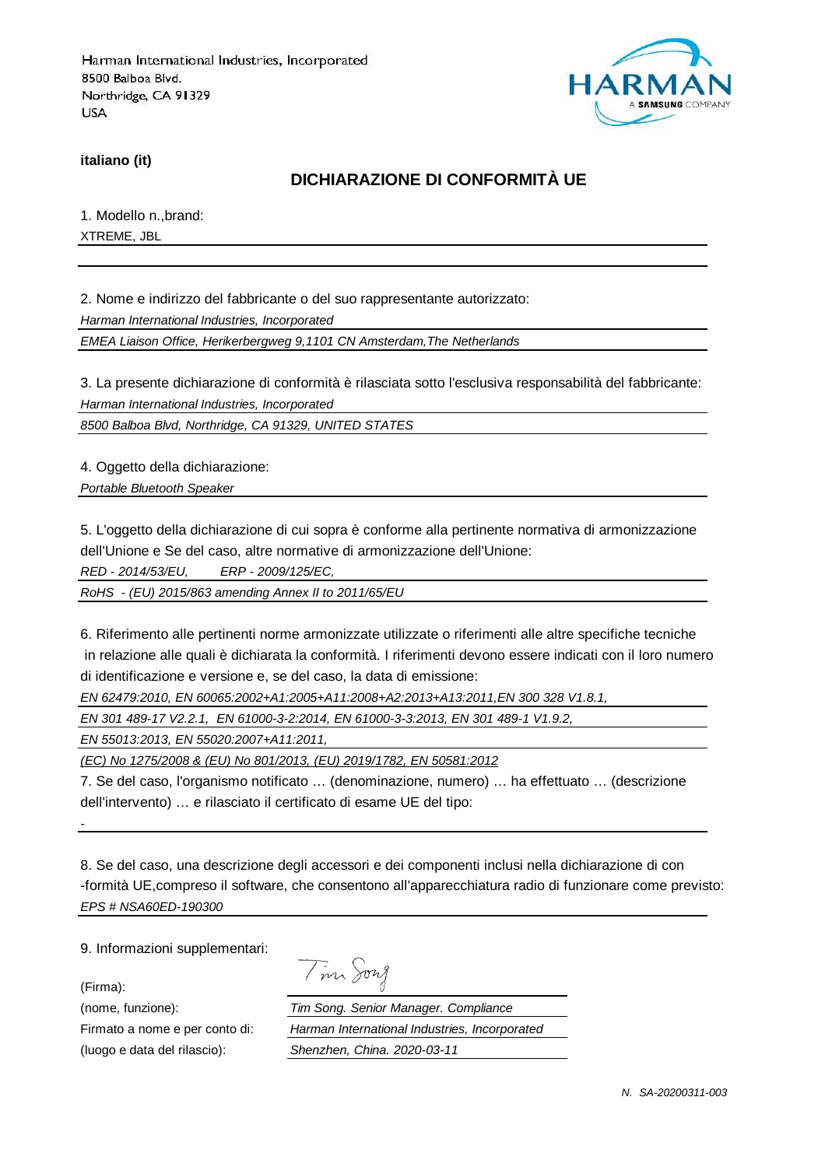

**italiano (it)**

## **DICHIARAZIONE DI CONFORMITÀ UE**

1. Modello n.,brand: XTREME, JBL

2. Nome e indirizzo del fabbricante o del suo rappresentante autorizzato:

Harman International Industries, Incorporated

EMEA Liaison Office, Herikerbergweg 9,1101 CN Amsterdam,The Netherlands

3. La presente dichiarazione di conformità è rilasciata sotto l'esclusiva responsabilità del fabbricante: Harman International Industries, Incorporated

8500 Balboa Blvd, Northridge, CA 91329, UNITED STATES

4. Oggetto della dichiarazione:

Portable Bluetooth Speaker

5. L'oggetto della dichiarazione di cui sopra è conforme alla pertinente normativa di armonizzazione dell'Unione e Se del caso, altre normative di armonizzazione dell'Unione:

RED - 2014/53/EU, ERP - 2009/125/EC,

RoHS - (EU) 2015/863 amending Annex II to 2011/65/EU

6. Riferimento alle pertinenti norme armonizzate utilizzate o riferimenti alle altre specifiche tecniche in relazione alle quali è dichiarata la conformità. I riferimenti devono essere indicati con il loro numero di identificazione e versione e, se del caso, la data di emissione:

EN 62479:2010, EN 60065:2002+A1:2005+A11:2008+A2:2013+A13:2011,EN 300 328 V1.8.1,

EN 301 489-17 V2.2.1, EN 61000-3-2:2014, EN 61000-3-3:2013, EN 301 489-1 V1.9.2,

EN 55013:2013, EN 55020:2007+A11:2011,

(EC) No 1275/2008 & (EU) No 801/2013, (EU) 2019/1782, EN 50581:2012

7. Se del caso, l'organismo notificato … (denominazione, numero) … ha effettuato … (descrizione dell'intervento) … e rilasciato il certificato di esame UE del tipo:

8. Se del caso, una descrizione degli accessori e dei componenti inclusi nella dichiarazione di con -formità UE,compreso il software, che consentono all'apparecchiatura radio di funzionare come previsto: EPS # NSA60ED-190300

9. Informazioni supplementari:

(Firma):

-

| $\overline{\phantom{a}}$ | 1971 A |
|--------------------------|--------|
|--------------------------|--------|

(nome, funzione): Tim Song. Senior Manager. Compliance Firmato a nome e per conto di: Harman International Industries, Incorporated (luogo e data del rilascio): Shenzhen, China. 2020-03-11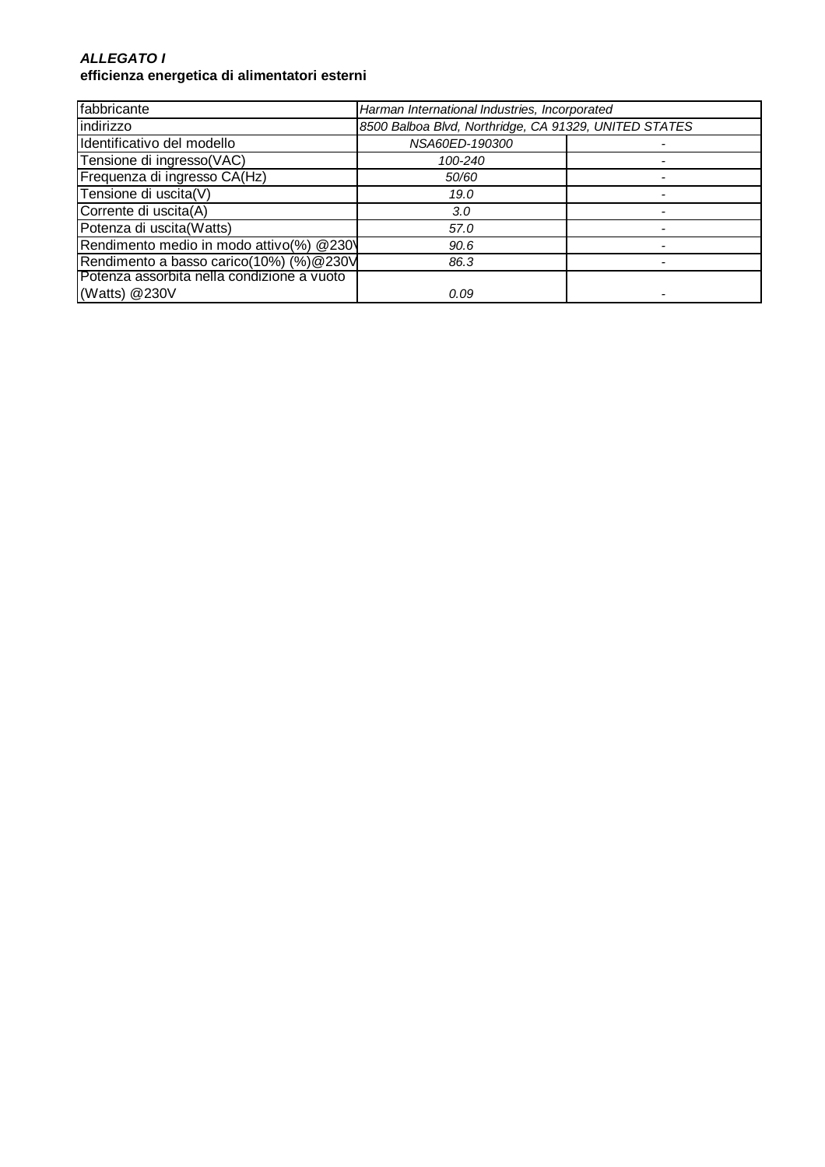#### **ALLEGATO I efficienza energetica di alimentatori esterni**

| fabbricante                                | Harman International Industries, Incorporated         |  |
|--------------------------------------------|-------------------------------------------------------|--|
| indirizzo                                  | 8500 Balboa Blvd, Northridge, CA 91329, UNITED STATES |  |
| Identificativo del modello                 | NSA60ED-190300                                        |  |
| Tensione di ingresso(VAC)                  | 100-240                                               |  |
| Frequenza di ingresso CA(Hz)               | 50/60                                                 |  |
| Tensione di uscita(V)                      | 19.0                                                  |  |
| Corrente di uscita(A)                      | 3.0                                                   |  |
| Potenza di uscita(Watts)                   | 57.0                                                  |  |
| Rendimento medio in modo attivo(%) @230\   | 90.6                                                  |  |
| Rendimento a basso carico(10%) (%)@230V    | 86.3                                                  |  |
| Potenza assorbita nella condizione a vuoto |                                                       |  |
| (Watts) @230V                              | 0.09                                                  |  |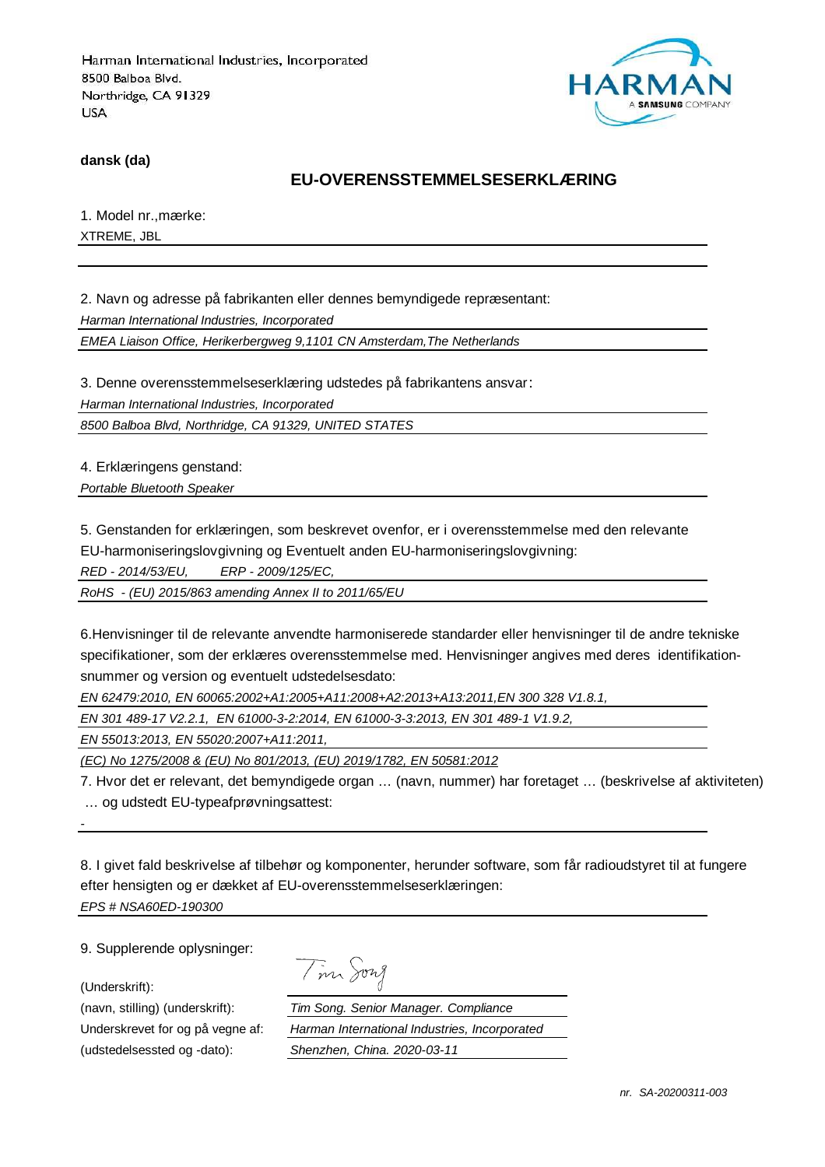

**dansk (da)**

### **EU-OVERENSSTEMMELSESERKLÆRING**

1. Model nr.,mærke: XTREME, JBL

2. Navn og adresse på fabrikanten eller dennes bemyndigede repræsentant: Harman International Industries, Incorporated

EMEA Liaison Office, Herikerbergweg 9,1101 CN Amsterdam,The Netherlands

3. Denne overensstemmelseserklæring udstedes på fabrikantens ansvar:

Harman International Industries, Incorporated

8500 Balboa Blvd, Northridge, CA 91329, UNITED STATES

4. Erklæringens genstand:

Portable Bluetooth Speaker

5. Genstanden for erklæringen, som beskrevet ovenfor, er i overensstemmelse med den relevante

EU-harmoniseringslovgivning og Eventuelt anden EU-harmoniseringslovgivning:

RED - 2014/53/EU, ERP - 2009/125/EC,

RoHS - (EU) 2015/863 amending Annex II to 2011/65/EU

6.Henvisninger til de relevante anvendte harmoniserede standarder eller henvisninger til de andre tekniske specifikationer, som der erklæres overensstemmelse med. Henvisninger angives med deres identifikationsnummer og version og eventuelt udstedelsesdato:

EN 62479:2010, EN 60065:2002+A1:2005+A11:2008+A2:2013+A13:2011,EN 300 328 V1.8.1,

EN 301 489-17 V2.2.1, EN 61000-3-2:2014, EN 61000-3-3:2013, EN 301 489-1 V1.9.2,

EN 55013:2013, EN 55020:2007+A11:2011,

(EC) No 1275/2008 & (EU) No 801/2013, (EU) 2019/1782, EN 50581:2012

7. Hvor det er relevant, det bemyndigede organ … (navn, nummer) har foretaget … (beskrivelse af aktiviteten) … og udstedt EU-typeafprøvningsattest:

8. I givet fald beskrivelse af tilbehør og komponenter, herunder software, som får radioudstyret til at fungere efter hensigten og er dækket af EU-overensstemmelseserklæringen: EPS # NSA60ED-190300

9. Supplerende oplysninger:

(Underskrift):

-

(udstedelsessted og -dato): Shenzhen, China. 2020-03-11

Tim Song

(navn, stilling) (underskrift): Tim Song. Senior Manager. Compliance Underskrevet for og på vegne af: Harman International Industries, Incorporated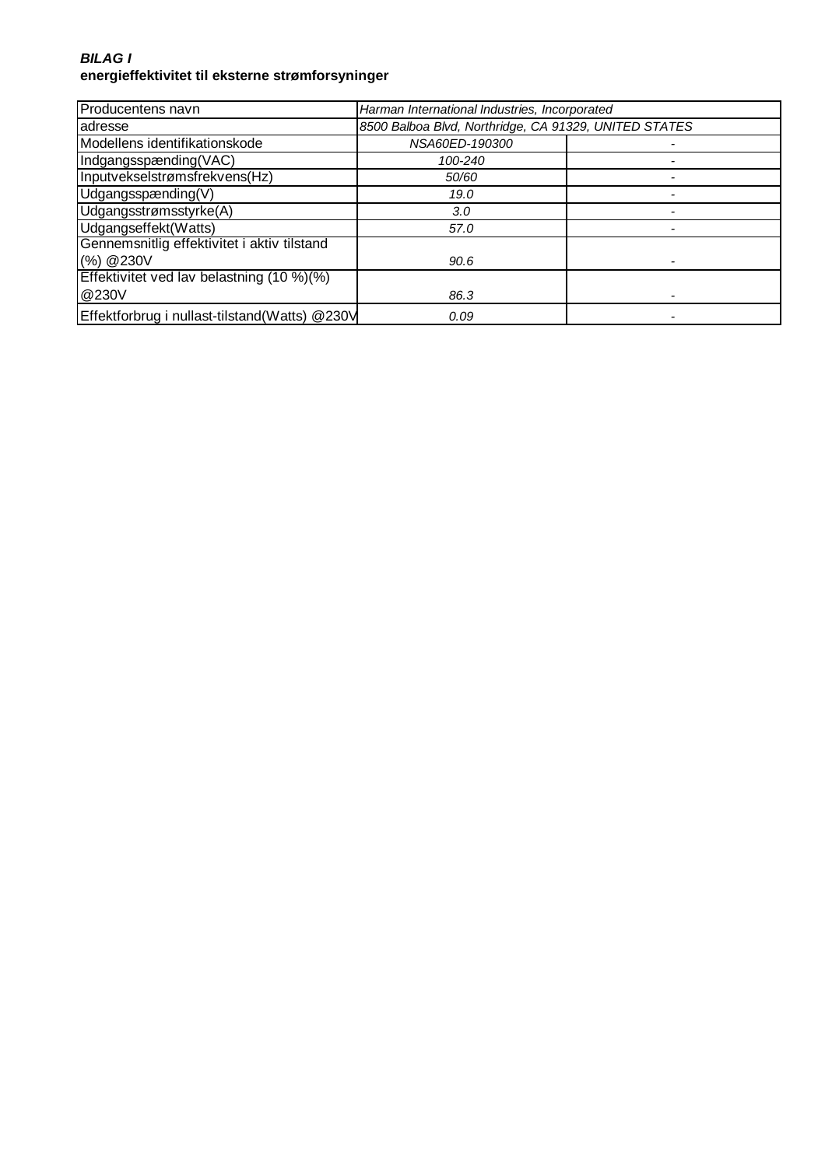### **BILAG I energieffektivitet til eksterne strømforsyninger**

| Producentens navn                             | Harman International Industries, Incorporated         |  |
|-----------------------------------------------|-------------------------------------------------------|--|
| adresse                                       | 8500 Balboa Blvd, Northridge, CA 91329, UNITED STATES |  |
| Modellens identifikationskode                 | NSA60ED-190300                                        |  |
| Indgangsspænding(VAC)                         | 100-240                                               |  |
| Inputvekselstrømsfrekvens(Hz)                 | 50/60                                                 |  |
| Udgangsspænding $(V)$                         | 19.0                                                  |  |
| Udgangsstrømsstyrke(A)                        | 3.0                                                   |  |
| Udgangseffekt(Watts)                          | 57.0                                                  |  |
| Gennemsnitlig effektivitet i aktiv tilstand   |                                                       |  |
| (%) @230V                                     | 90.6                                                  |  |
| Effektivitet ved lav belastning (10 %)(%)     |                                                       |  |
| @230V                                         | 86.3                                                  |  |
| Effektforbrug i nullast-tilstand(Watts) @230V | 0.09                                                  |  |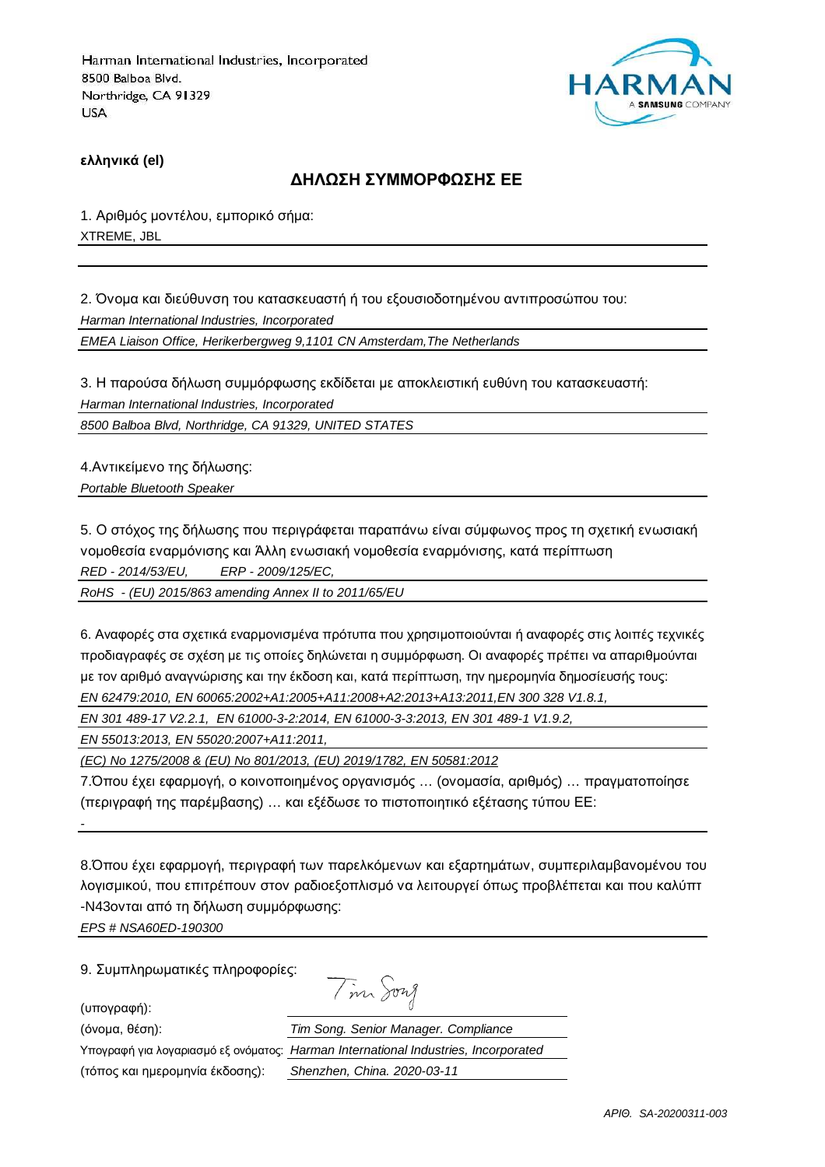

**ελληνικά (el)**

#### **ΔΗΛΩΣΗ ΣΥΜΜΟΡΦΩΣΗΣ ΕΕ**

1. Αριθμός μοντέλου, εμπορικό σήμα: XTREME, JBL

2. Όνομα και διεύθυνση του κατασκευαστή ή του εξουσιοδοτημένου αντιπροσώπου του: Harman International Industries, Incorporated EMEA Liaison Office, Herikerbergweg 9,1101 CN Amsterdam,The Netherlands

3. Η παρούσα δήλωση συμμόρφωσης εκδίδεται με αποκλειστική ευθύνη του κατασκευαστή: Harman International Industries, Incorporated

8500 Balboa Blvd, Northridge, CA 91329, UNITED STATES

4.Αντικείμενο της δήλωσης: Portable Bluetooth Speaker

5. Ο στόχος της δήλωσης που περιγράφεται παραπάνω είναι σύμφωνος προς τη σχετική ενωσιακή νομοθεσία εναρμόνισης και Άλλη ενωσιακή νομοθεσία εναρμόνισης, κατά περίπτωση RED - 2014/53/EU, ERP - 2009/125/EC,

RoHS - (EU) 2015/863 amending Annex II to 2011/65/EU

6. Αναφορές στα σχετικά εναρμονισμένα πρότυπα που χρησιμοποιούνται ή αναφορές στις λοιπές τεχνικές προδιαγραφές σε σχέση με τις οποίες δηλώνεται η συμμόρφωση. Οι αναφορές πρέπει να απαριθμούνται με τον αριθμό αναγνώρισης και την έκδοση και, κατά περίπτωση, την ημερομηνία δημοσίευσής τους: EN 62479:2010, EN 60065:2002+A1:2005+A11:2008+A2:2013+A13:2011,EN 300 328 V1.8.1,

EN 301 489-17 V2.2.1, EN 61000-3-2:2014, EN 61000-3-3:2013, EN 301 489-1 V1.9.2,

EN 55013:2013, EN 55020:2007+A11:2011,

(EC) No 1275/2008 & (EU) No 801/2013, (EU) 2019/1782, EN 50581:2012

7.Όπου έχει εφαρμογή, ο κοινοποιημένος οργανισμός … (ονομασία, αριθμός) … πραγματοποίησε (περιγραφή της παρέμβασης) … και εξέδωσε το πιστοποιητικό εξέτασης τύπου ΕΕ:

8.Όπου έχει εφαρμογή, περιγραφή των παρελκόμενων και εξαρτημάτων, συμπεριλαμβανομένου του λογισμικού, που επιτρέπουν στον ραδιοεξοπλισμό να λειτουργεί όπως προβλέπεται και που καλύπτ -N43ονται από τη δήλωση συμμόρφωσης:

EPS # NSA60ED-190300

9. Συμπληρωματικές πληροφορίες:

(υπογραφή):

-

Tim Song

(τόπος και ημερομηνία έκδοσης): Shenzhen, China. 2020-03-11

(όνομα, θέση): Tim Song. Senior Manager. Compliance Υπογραφή για λογαριασμό εξ ονόματος: Harman International Industries, Incorporated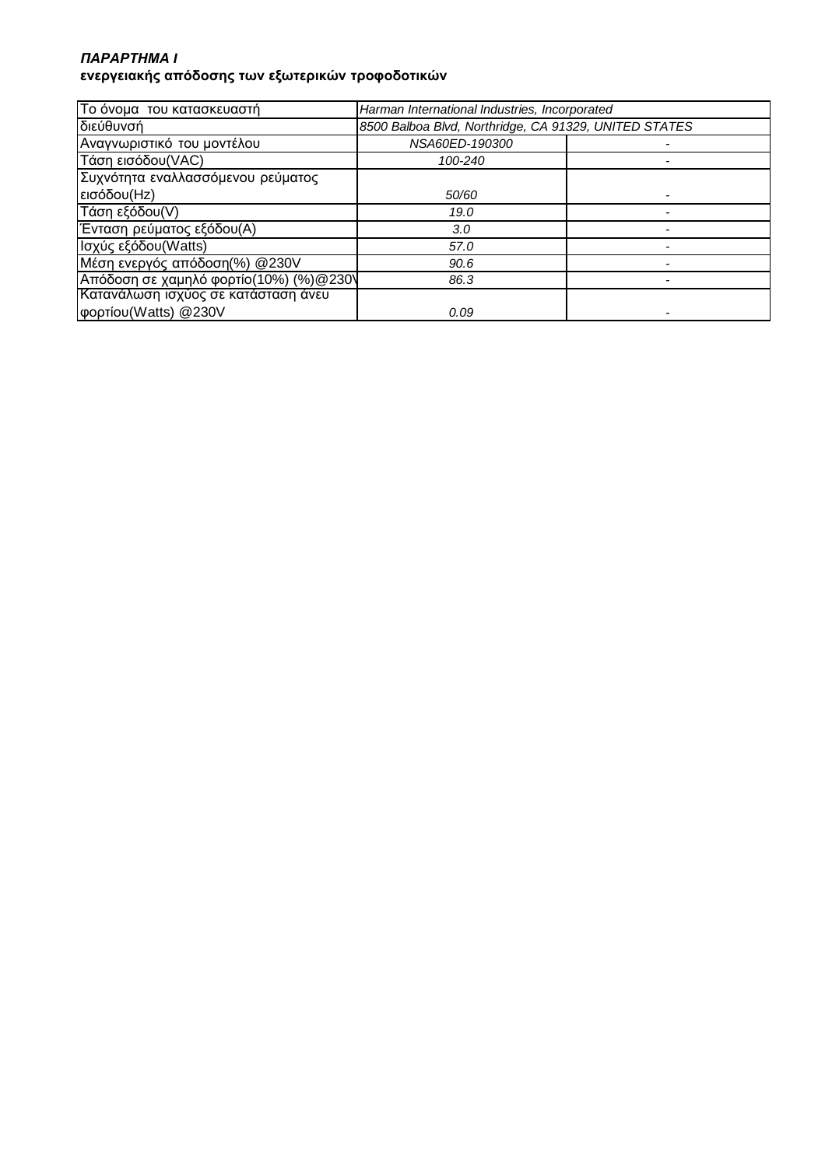## *ΠΑΡΑΡΤΗΜΑ* **I ενεργειακής απόδοσης των εξωτερικών τροφοδοτικών**

| Το όνομα του κατασκευαστή              | Harman International Industries, Incorporated         |  |
|----------------------------------------|-------------------------------------------------------|--|
| διεύθυνσή                              | 8500 Balboa Blvd, Northridge, CA 91329, UNITED STATES |  |
| Αναγνωριστικό του μοντέλου             | NSA60ED-190300                                        |  |
| Τάση εισόδου(VAC)                      | 100-240                                               |  |
| Συχνότητα εναλλασσόμενου ρεύματος      |                                                       |  |
| εισόδου(Hz)                            | 50/60                                                 |  |
| Τάση εξόδου(V)                         | 19.0                                                  |  |
| Ένταση ρεύματος εξόδου(Α)              | 3.0 <sub>2</sub>                                      |  |
| Ισχύς εξόδου (Watts)                   | 57.0                                                  |  |
| Μέση ενεργός απόδοση(%) @230V          | 90.6                                                  |  |
| Απόδοση σε χαμηλό φορτίο(10%) (%)@230\ | 86.3                                                  |  |
| Κατανάλωση ισχύος σε κατάσταση άνευ    |                                                       |  |
| φορτίου (Watts) @230V                  | 0.09                                                  |  |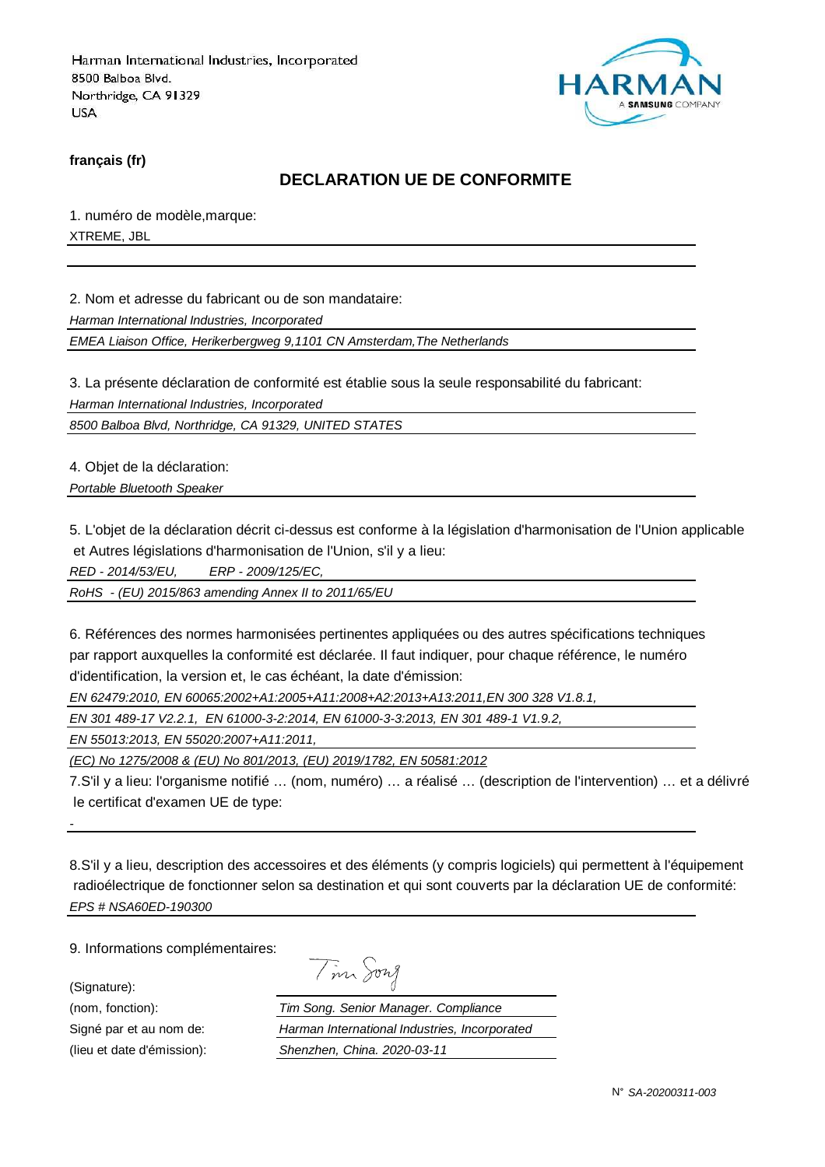

**français (fr)**

### **DECLARATION UE DE CONFORMITE**

1. numéro de modèle,marque: XTREME, JBL

2. Nom et adresse du fabricant ou de son mandataire:

Harman International Industries, Incorporated

EMEA Liaison Office, Herikerbergweg 9,1101 CN Amsterdam,The Netherlands

3. La présente déclaration de conformité est établie sous la seule responsabilité du fabricant:

Harman International Industries, Incorporated

8500 Balboa Blvd, Northridge, CA 91329, UNITED STATES

4. Objet de la déclaration:

Portable Bluetooth Speaker

5. L'objet de la déclaration décrit ci-dessus est conforme à la législation d'harmonisation de l'Union applicable et Autres législations d'harmonisation de l'Union, s'il y a lieu:

RED - 2014/53/EU, ERP - 2009/125/EC,

RoHS - (EU) 2015/863 amending Annex II to 2011/65/EU

6. Références des normes harmonisées pertinentes appliquées ou des autres spécifications techniques par rapport auxquelles la conformité est déclarée. Il faut indiquer, pour chaque référence, le numéro d'identification, la version et, le cas échéant, la date d'émission:

EN 62479:2010, EN 60065:2002+A1:2005+A11:2008+A2:2013+A13:2011,EN 300 328 V1.8.1,

EN 301 489-17 V2.2.1, EN 61000-3-2:2014, EN 61000-3-3:2013, EN 301 489-1 V1.9.2,

EN 55013:2013, EN 55020:2007+A11:2011,

(EC) No 1275/2008 & (EU) No 801/2013, (EU) 2019/1782, EN 50581:2012

7.S'il y a lieu: l'organisme notifié … (nom, numéro) … a réalisé … (description de l'intervention) … et a délivré le certificat d'examen UE de type:

8.S'il y a lieu, description des accessoires et des éléments (y compris logiciels) qui permettent à l'équipement radioélectrique de fonctionner selon sa destination et qui sont couverts par la déclaration UE de conformité: EPS # NSA60ED-190300

9. Informations complémentaires:

(Signature):

-

| $\sim$ | าพา |
|--------|-----|
|        |     |

(nom, fonction): Tim Song. Senior Manager. Compliance Signé par et au nom de: Harman International Industries, Incorporated (lieu et date d'émission): Shenzhen, China. 2020-03-11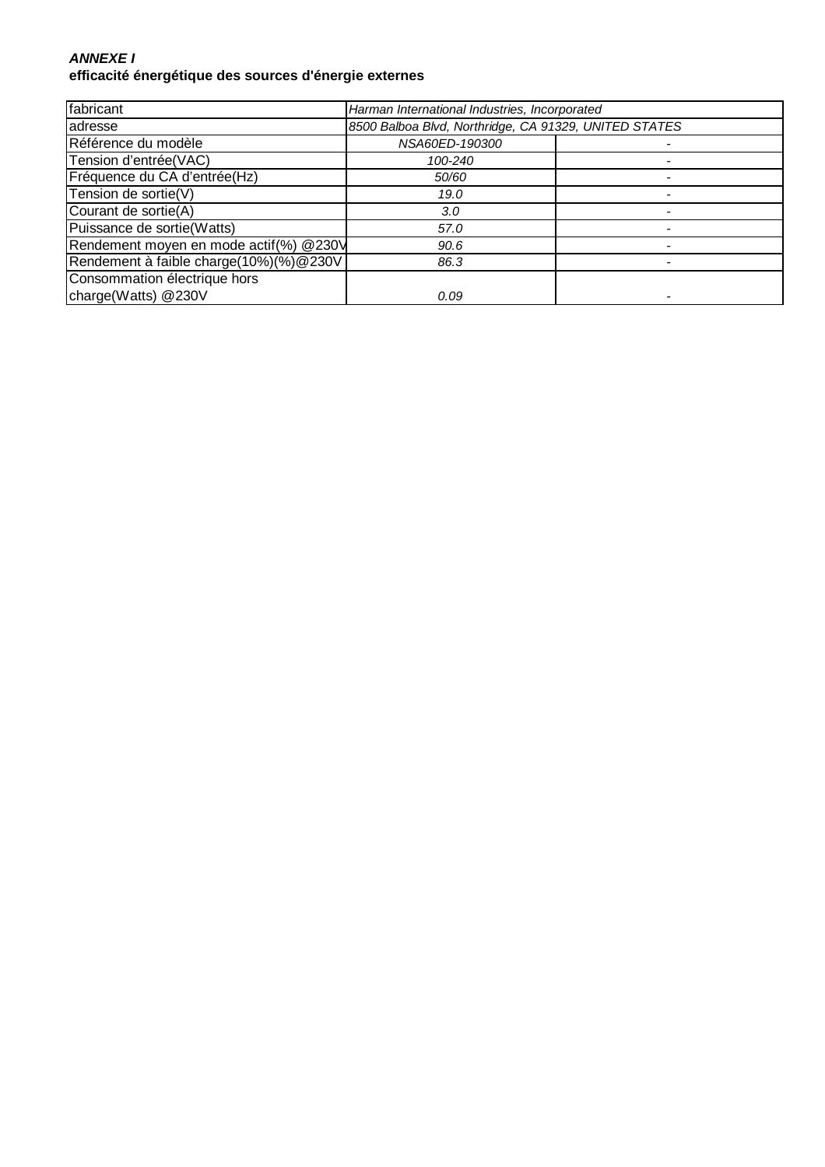## **ANNEXE I efficacité énergétique des sources d'énergie externes**

| fabricant                              | Harman International Industries, Incorporated         |  |
|----------------------------------------|-------------------------------------------------------|--|
| adresse                                | 8500 Balboa Blvd, Northridge, CA 91329, UNITED STATES |  |
| Référence du modèle                    | NSA60ED-190300                                        |  |
| Tension d'entrée(VAC)                  | 100-240                                               |  |
| Fréquence du CA d'entrée(Hz)           | 50/60                                                 |  |
| Tension de sortie(V)                   | 19.0                                                  |  |
| Courant de sortie(A)                   | 3.0                                                   |  |
| Puissance de sortie(Watts)             | 57.0                                                  |  |
| Rendement moyen en mode actif(%) @230V | 90.6                                                  |  |
| Rendement à faible charge(10%)(%)@230V | 86.3                                                  |  |
| Consommation électrique hors           |                                                       |  |
| charge(Watts) @230V                    | 0.09                                                  |  |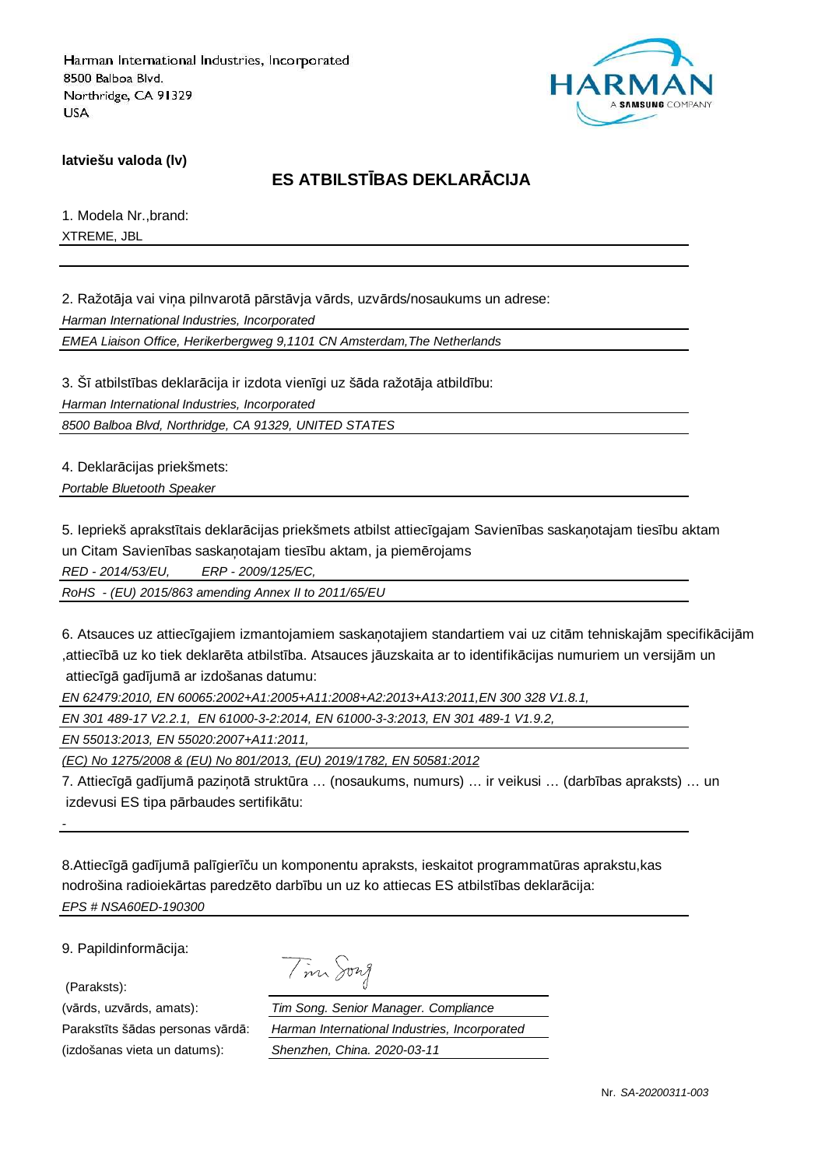

**latviešu valoda (lv)**

## **ES ATBILSTĪBAS DEKLARĀCIJA**

1. Modela Nr.,brand: XTREME, JBL

2. Ražotāja vai viņa pilnvarotā pārstāvja vārds, uzvārds/nosaukums un adrese:

Harman International Industries, Incorporated

EMEA Liaison Office, Herikerbergweg 9,1101 CN Amsterdam,The Netherlands

3. Šī atbilstības deklarācija ir izdota vienīgi uz šāda ražotāja atbildību: Harman International Industries, Incorporated

8500 Balboa Blvd, Northridge, CA 91329, UNITED STATES

4. Deklarācijas priekšmets:

Portable Bluetooth Speaker

5. Iepriekš aprakstītais deklarācijas priekšmets atbilst attiecīgajam Savienības saskaņotajam tiesību aktam un Citam Savienības saskaņotajam tiesību aktam, ja piemērojams

RED - 2014/53/EU, ERP - 2009/125/EC,

RoHS - (EU) 2015/863 amending Annex II to 2011/65/EU

6. Atsauces uz attiecīgajiem izmantojamiem saskaņotajiem standartiem vai uz citām tehniskajām specifikācijām ,attiecībā uz ko tiek deklarēta atbilstība. Atsauces jāuzskaita ar to identifikācijas numuriem un versijām un attiecīgā gadījumā ar izdošanas datumu:

EN 62479:2010, EN 60065:2002+A1:2005+A11:2008+A2:2013+A13:2011,EN 300 328 V1.8.1,

EN 301 489-17 V2.2.1, EN 61000-3-2:2014, EN 61000-3-3:2013, EN 301 489-1 V1.9.2,

EN 55013:2013, EN 55020:2007+A11:2011,

(EC) No 1275/2008 & (EU) No 801/2013, (EU) 2019/1782, EN 50581:2012

7. Attiecīgā gadījumā paziņotā struktūra … (nosaukums, numurs) … ir veikusi … (darbības apraksts) … un izdevusi ES tipa pārbaudes sertifikātu:

8.Attiecīgā gadījumā palīgierīču un komponentu apraksts, ieskaitot programmatūras aprakstu,kas nodrošina radioiekārtas paredzēto darbību un uz ko attiecas ES atbilstības deklarācija: EPS # NSA60ED-190300

9. Papildinformācija:

(Paraksts):

-

(izdošanas vieta un datums): Shenzhen, China. 2020-03-11

|  | 1921 A |
|--|--------|
|--|--------|

(vārds, uzvārds, amats): Tim Song. Senior Manager. Compliance Parakstīts šādas personas vārdā: Harman International Industries, Incorporated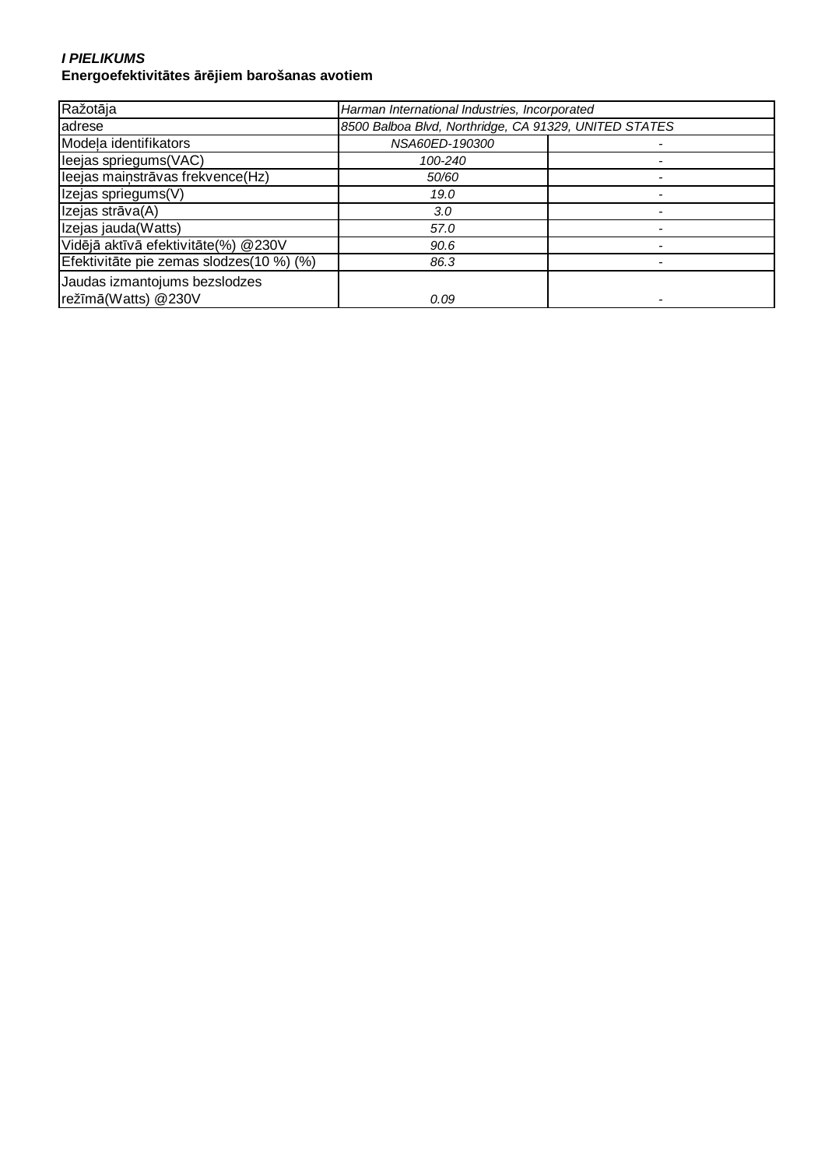#### **I PIELIKUMS Energoefektivitātes ārējiem barošanas avotiem**

| Ražotāja                                             | Harman International Industries, Incorporated         |  |
|------------------------------------------------------|-------------------------------------------------------|--|
| adrese                                               | 8500 Balboa Blvd, Northridge, CA 91329, UNITED STATES |  |
| Modela identifikators                                | NSA60ED-190300                                        |  |
| leejas spriegums(VAC)                                | 100-240                                               |  |
| leejas mainstrāvas frekvence(Hz)                     | 50/60                                                 |  |
| Izejas spriegums(V)                                  | 19.0                                                  |  |
| Izejas strāva(A)                                     | 3.0                                                   |  |
| Izejas jauda(Watts)                                  | 57.0                                                  |  |
| Vidējā aktīvā efektivitāte(%) @230V                  | 90.6                                                  |  |
| Efektivitāte pie zemas slodzes(10 %) (%)             | 86.3                                                  |  |
| Jaudas izmantojums bezslodzes<br>režīmā(Watts) @230V | 0.09                                                  |  |
|                                                      |                                                       |  |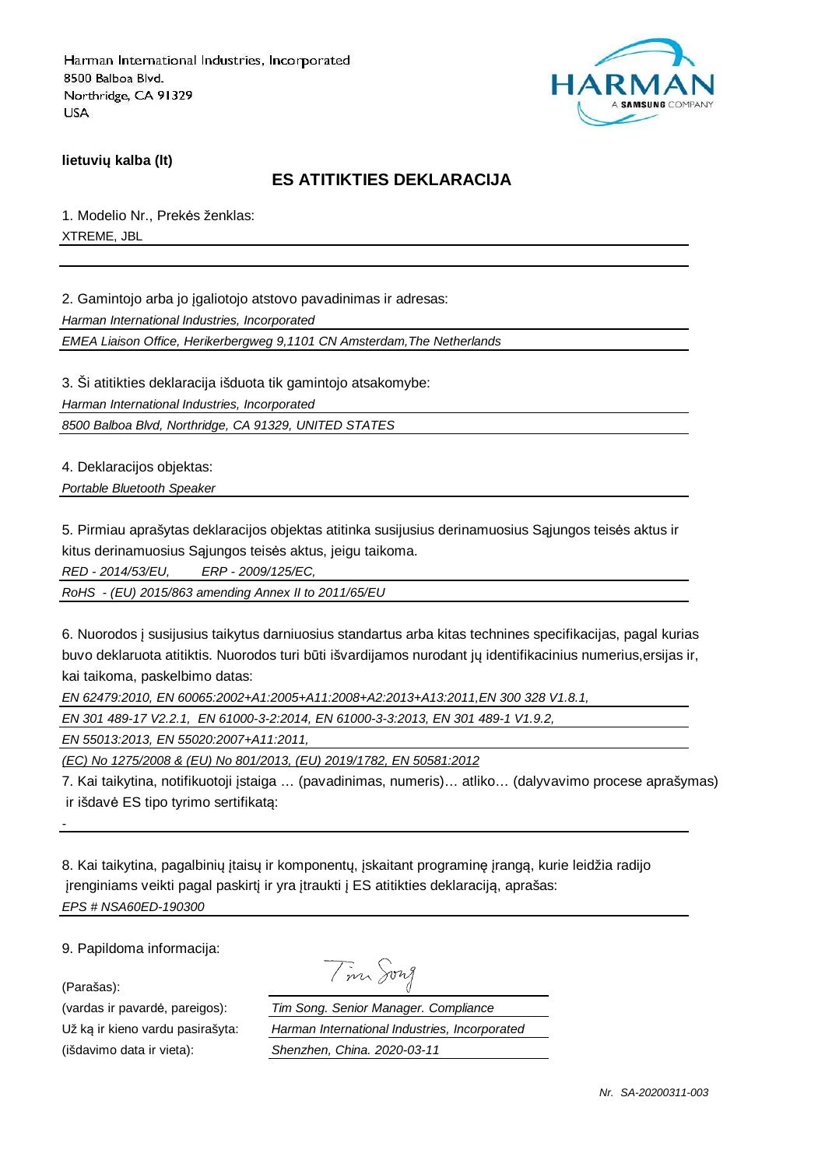

**lietuvių kalba (lt)**

## **ES ATITIKTIES DEKLARACIJA**

1. Modelio Nr., Prekės ženklas: XTREME, JBL

2. Gamintojo arba jo įgaliotojo atstovo pavadinimas ir adresas:

Harman International Industries, Incorporated

EMEA Liaison Office, Herikerbergweg 9,1101 CN Amsterdam,The Netherlands

3. Ši atitikties deklaracija išduota tik gamintojo atsakomybe:

Harman International Industries, Incorporated

8500 Balboa Blvd, Northridge, CA 91329, UNITED STATES

4. Deklaracijos objektas:

Portable Bluetooth Speaker

5. Pirmiau aprašytas deklaracijos objektas atitinka susijusius derinamuosius Sąjungos teisės aktus ir kitus derinamuosius Sąjungos teisės aktus, jeigu taikoma.

RED - 2014/53/EU, ERP - 2009/125/EC,

RoHS - (EU) 2015/863 amending Annex II to 2011/65/EU

6. Nuorodos į susijusius taikytus darniuosius standartus arba kitas technines specifikacijas, pagal kurias buvo deklaruota atitiktis. Nuorodos turi būti išvardijamos nurodant jų identifikacinius numerius,ersijas ir, kai taikoma, paskelbimo datas:

EN 62479:2010, EN 60065:2002+A1:2005+A11:2008+A2:2013+A13:2011,EN 300 328 V1.8.1,

EN 301 489-17 V2.2.1, EN 61000-3-2:2014, EN 61000-3-3:2013, EN 301 489-1 V1.9.2,

EN 55013:2013, EN 55020:2007+A11:2011,

(EC) No 1275/2008 & (EU) No 801/2013, (EU) 2019/1782, EN 50581:2012

7. Kai taikytina, notifikuotoji įstaiga … (pavadinimas, numeris)… atliko… (dalyvavimo procese aprašymas) ir išdavė ES tipo tyrimo sertifikatą:

8. Kai taikytina, pagalbinių įtaisų ir komponentų, įskaitant programinę įrangą, kurie leidžia radijo įrenginiams veikti pagal paskirtį ir yra įtraukti į ES atitikties deklaraciją, aprašas: EPS # NSA60ED-190300

9. Papildoma informacija:

(Parašas):

-

(vardas ir pavardė, pareigos): Už ką ir kieno vardu pasirašyta: (išdavimo data ir vieta): Shenzhen, China. 2021.

| $\sqrt{ }$ | n |
|------------|---|
|            |   |

| im Song. Senior Manager. Compliance           |  |  |  |
|-----------------------------------------------|--|--|--|
| larman International Industries, Incorporated |  |  |  |
| henzhen, China. 2020-03-11                    |  |  |  |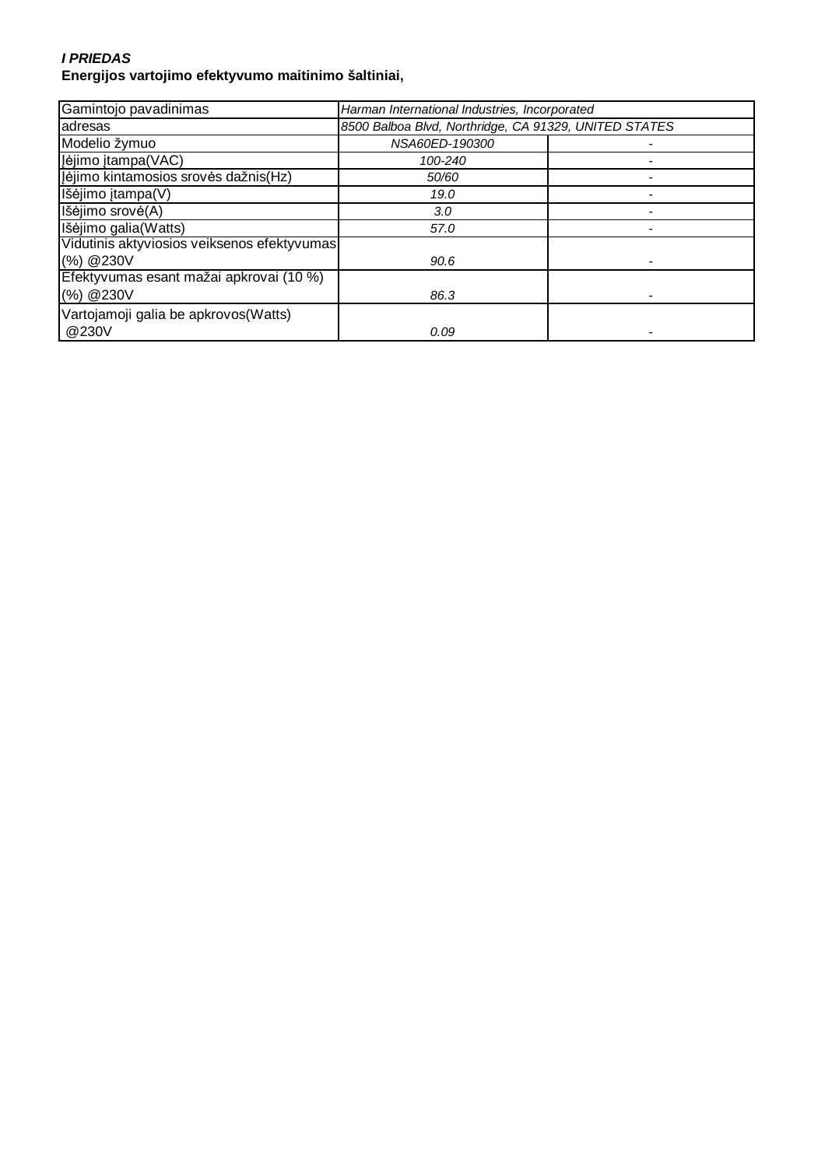#### **I PRIEDAS Energijos vartojimo efektyvumo maitinimo šaltiniai,**

| Gamintojo pavadinimas                       | Harman International Industries, Incorporated         |  |
|---------------------------------------------|-------------------------------------------------------|--|
| adresas                                     | 8500 Balboa Blvd, Northridge, CA 91329, UNITED STATES |  |
| Modelio žymuo                               | NSA60ED-190300                                        |  |
| Įėjimo įtampa(VAC)                          | 100-240                                               |  |
| Jėjimo kintamosios srovės dažnis(Hz)        | 50/60                                                 |  |
| Išėjimo įtampa(V)                           | 19.0                                                  |  |
| Išėjimo srovė(A)                            | 3.0                                                   |  |
| Išėjimo galia(Watts)                        | 57.0                                                  |  |
| Vidutinis aktyviosios veiksenos efektyvumas |                                                       |  |
| (%) @230V                                   | 90.6                                                  |  |
| Efektyvumas esant mažai apkrovai (10 %)     |                                                       |  |
| (%) @230V                                   | 86.3                                                  |  |
| Vartojamoji galia be apkrovos (Watts)       |                                                       |  |
| @230V                                       | 0.09                                                  |  |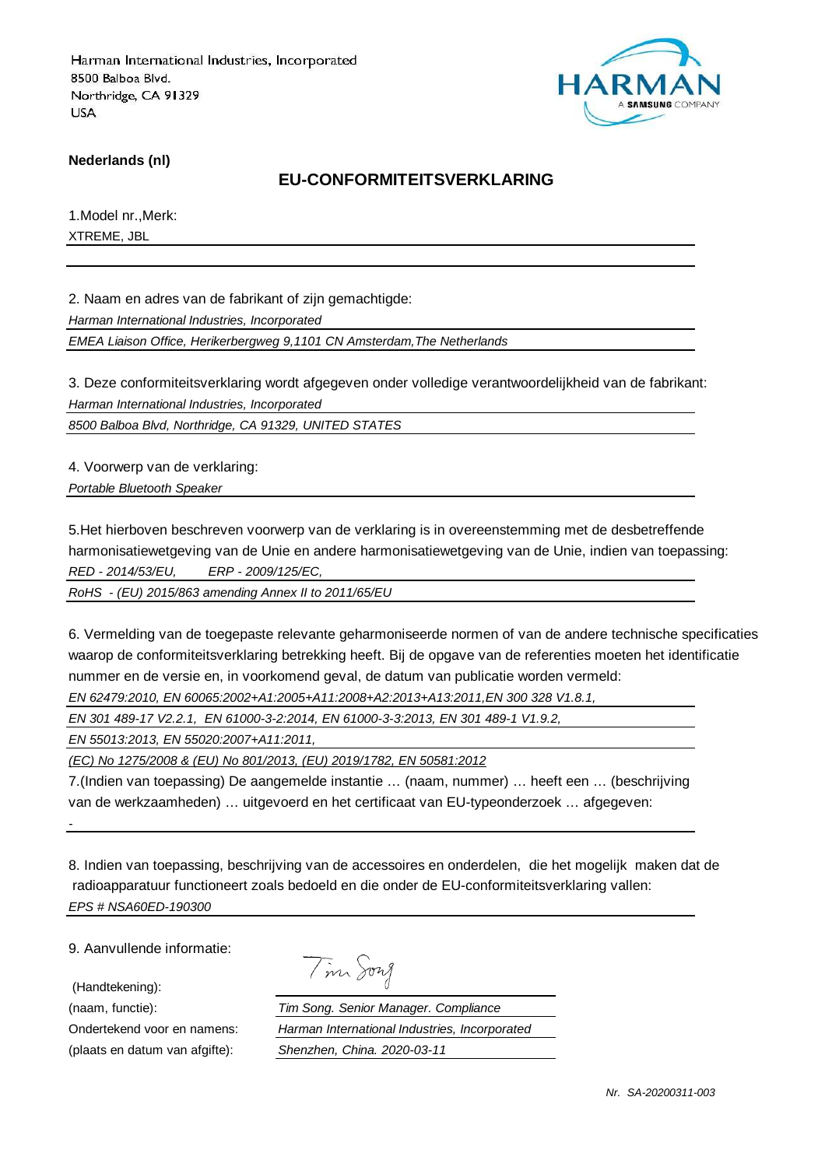

**Nederlands (nl)**

## **EU-CONFORMITEITSVERKLARING**

1.Model nr.,Merk: XTREME, JBL

2. Naam en adres van de fabrikant of zijn gemachtigde:

Harman International Industries, Incorporated

EMEA Liaison Office, Herikerbergweg 9,1101 CN Amsterdam,The Netherlands

3. Deze conformiteitsverklaring wordt afgegeven onder volledige verantwoordelijkheid van de fabrikant: Harman International Industries, Incorporated

8500 Balboa Blvd, Northridge, CA 91329, UNITED STATES

4. Voorwerp van de verklaring:

Portable Bluetooth Speaker

5.Het hierboven beschreven voorwerp van de verklaring is in overeenstemming met de desbetreffende harmonisatiewetgeving van de Unie en andere harmonisatiewetgeving van de Unie, indien van toepassing: RED - 2014/53/EU, ERP - 2009/125/EC,

RoHS - (EU) 2015/863 amending Annex II to 2011/65/EU

6. Vermelding van de toegepaste relevante geharmoniseerde normen of van de andere technische specificaties waarop de conformiteitsverklaring betrekking heeft. Bij de opgave van de referenties moeten het identificatie nummer en de versie en, in voorkomend geval, de datum van publicatie worden vermeld: EN 62479:2010, EN 60065:2002+A1:2005+A11:2008+A2:2013+A13:2011,EN 300 328 V1.8.1,

EN 301 489-17 V2.2.1, EN 61000-3-2:2014, EN 61000-3-3:2013, EN 301 489-1 V1.9.2,

EN 55013:2013, EN 55020:2007+A11:2011,

(EC) No 1275/2008 & (EU) No 801/2013, (EU) 2019/1782, EN 50581:2012

7.(Indien van toepassing) De aangemelde instantie … (naam, nummer) … heeft een … (beschrijving van de werkzaamheden) … uitgevoerd en het certificaat van EU-typeonderzoek … afgegeven:

8. Indien van toepassing, beschrijving van de accessoires en onderdelen, die het mogelijk maken dat de radioapparatuur functioneert zoals bedoeld en die onder de EU-conformiteitsverklaring vallen: EPS # NSA60ED-190300

9. Aanvullende informatie:

(Handtekening):

-

Tim Song

(naam, functie): Tim Song. Senior Manager. Compliance Ondertekend voor en namens: Harman International Industries, Incorporated (plaats en datum van afgifte): Shenzhen, China. 2020-03-11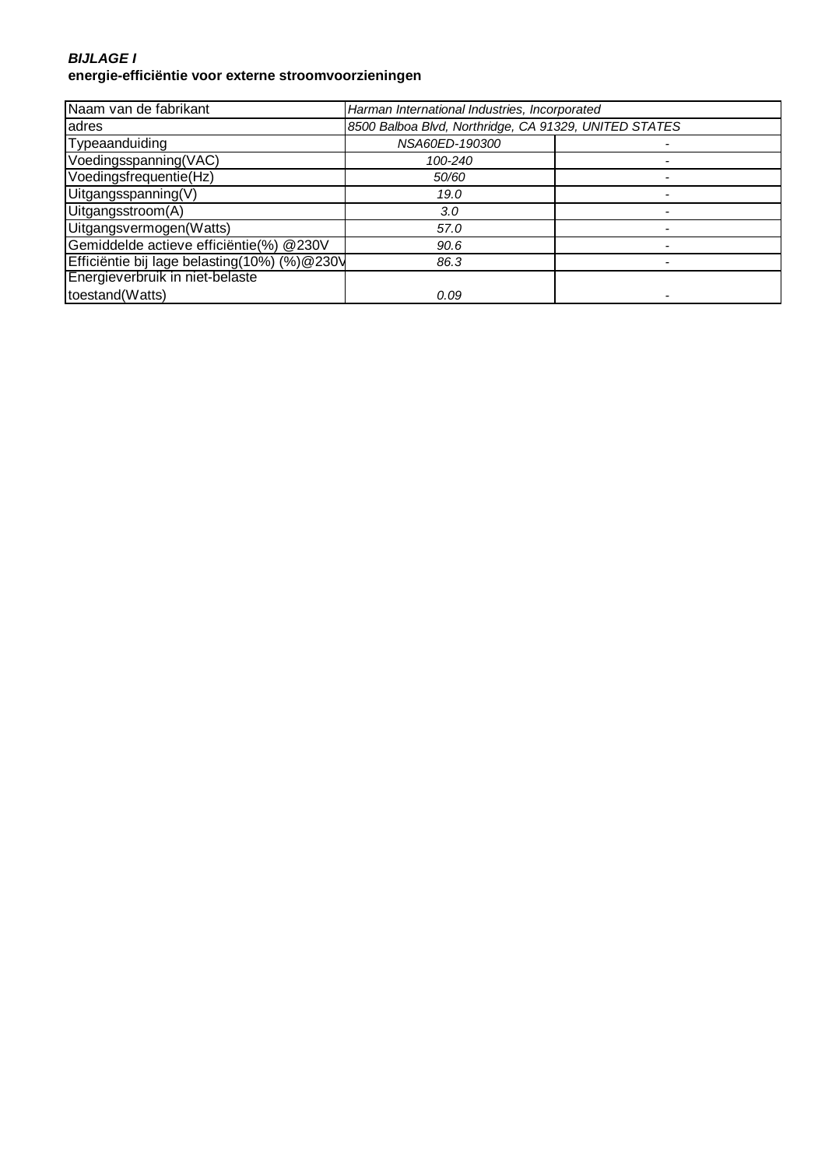#### **BIJLAGE I energie-efficiëntie voor externe stroomvoorzieningen**

| Naam van de fabrikant                        | Harman International Industries, Incorporated         |  |
|----------------------------------------------|-------------------------------------------------------|--|
| adres                                        | 8500 Balboa Blvd, Northridge, CA 91329, UNITED STATES |  |
| Typeaanduiding                               | NSA60ED-190300                                        |  |
| Voedingsspanning(VAC)                        | 100-240                                               |  |
| Voedingsfrequentie(Hz)                       | 50/60                                                 |  |
| Uitgangsspanning(V)                          | 19.0                                                  |  |
| Uitgangsstroom(A)                            | 3.0                                                   |  |
| Uitgangsvermogen(Watts)                      | 57.0                                                  |  |
| Gemiddelde actieve efficiëntie(%) @230V      | 90.6                                                  |  |
| Efficiëntie bij lage belasting(10%) (%)@230V | 86.3                                                  |  |
| Energieverbruik in niet-belaste              |                                                       |  |
| toestand(Watts)                              | 0.09                                                  |  |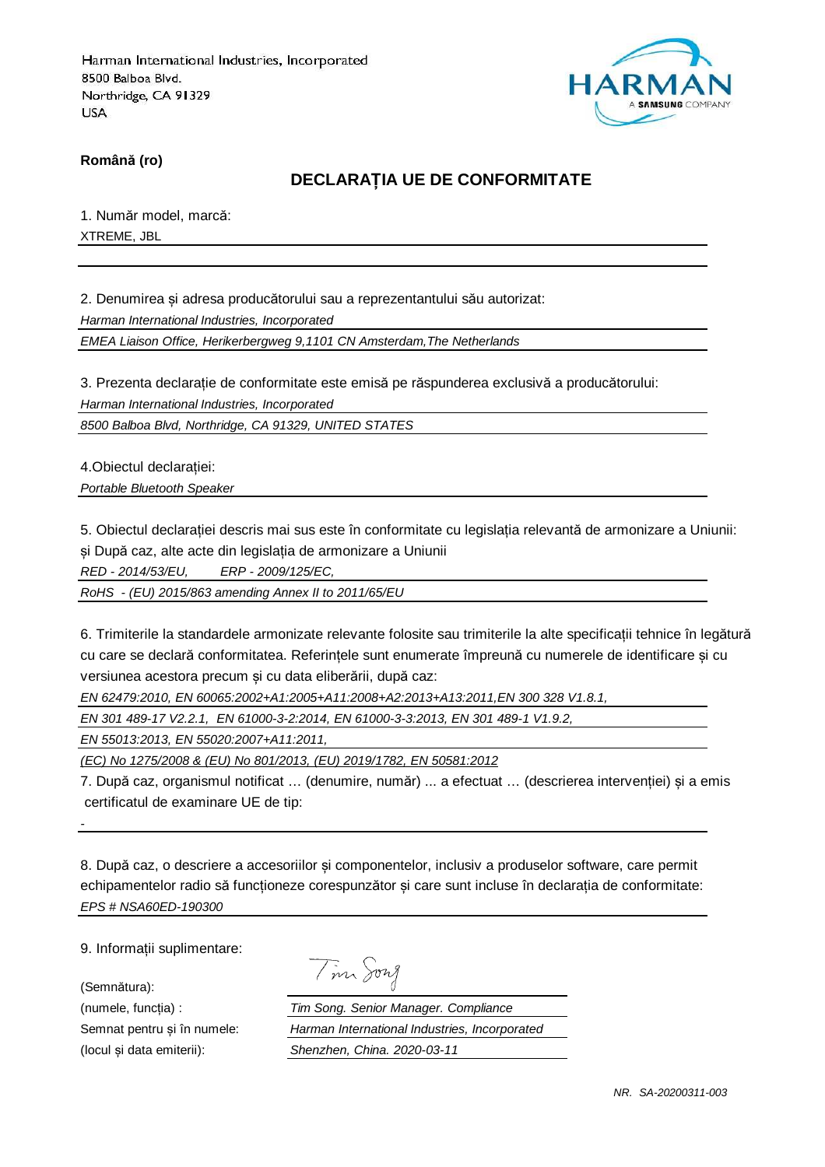

**Română (ro)**

## **DECLARAȚIA UE DE CONFORMITATE**

1. Număr model, marcă: XTREME, JBL

2. Denumirea și adresa producătorului sau a reprezentantului său autorizat:

Harman International Industries, Incorporated

EMEA Liaison Office, Herikerbergweg 9,1101 CN Amsterdam,The Netherlands

3. Prezenta declarație de conformitate este emisă pe răspunderea exclusivă a producătorului:

Harman International Industries, Incorporated

8500 Balboa Blvd, Northridge, CA 91329, UNITED STATES

4.Obiectul declarației: Portable Bluetooth Speaker

5. Obiectul declarației descris mai sus este în conformitate cu legislația relevantă de armonizare a Uniunii: și După caz, alte acte din legislația de armonizare a Uniunii

RED - 2014/53/EU, ERP - 2009/125/EC,

RoHS - (EU) 2015/863 amending Annex II to 2011/65/EU

6. Trimiterile la standardele armonizate relevante folosite sau trimiterile la alte specificații tehnice în legătură cu care se declară conformitatea. Referințele sunt enumerate împreună cu numerele de identificare și cu versiunea acestora precum și cu data eliberării, după caz:

EN 62479:2010, EN 60065:2002+A1:2005+A11:2008+A2:2013+A13:2011,EN 300 328 V1.8.1,

EN 301 489-17 V2.2.1, EN 61000-3-2:2014, EN 61000-3-3:2013, EN 301 489-1 V1.9.2,

EN 55013:2013, EN 55020:2007+A11:2011,

(EC) No 1275/2008 & (EU) No 801/2013, (EU) 2019/1782, EN 50581:2012

7. După caz, organismul notificat … (denumire, număr) ... a efectuat … (descrierea intervenției) și a emis certificatul de examinare UE de tip:

8. După caz, o descriere a accesoriilor și componentelor, inclusiv a produselor software, care permit echipamentelor radio să funcționeze corespunzător și care sunt incluse în declarația de conformitate: EPS # NSA60ED-190300

9. Informații suplimentare:

(Semnătura):

-

Tim Song

(numele, funcția) : Tim Song. Senior Manager. Compliance Semnat pentru și în numele: Harman International Industries, Incorporated (locul și data emiterii): Shenzhen, China. 2020-03-11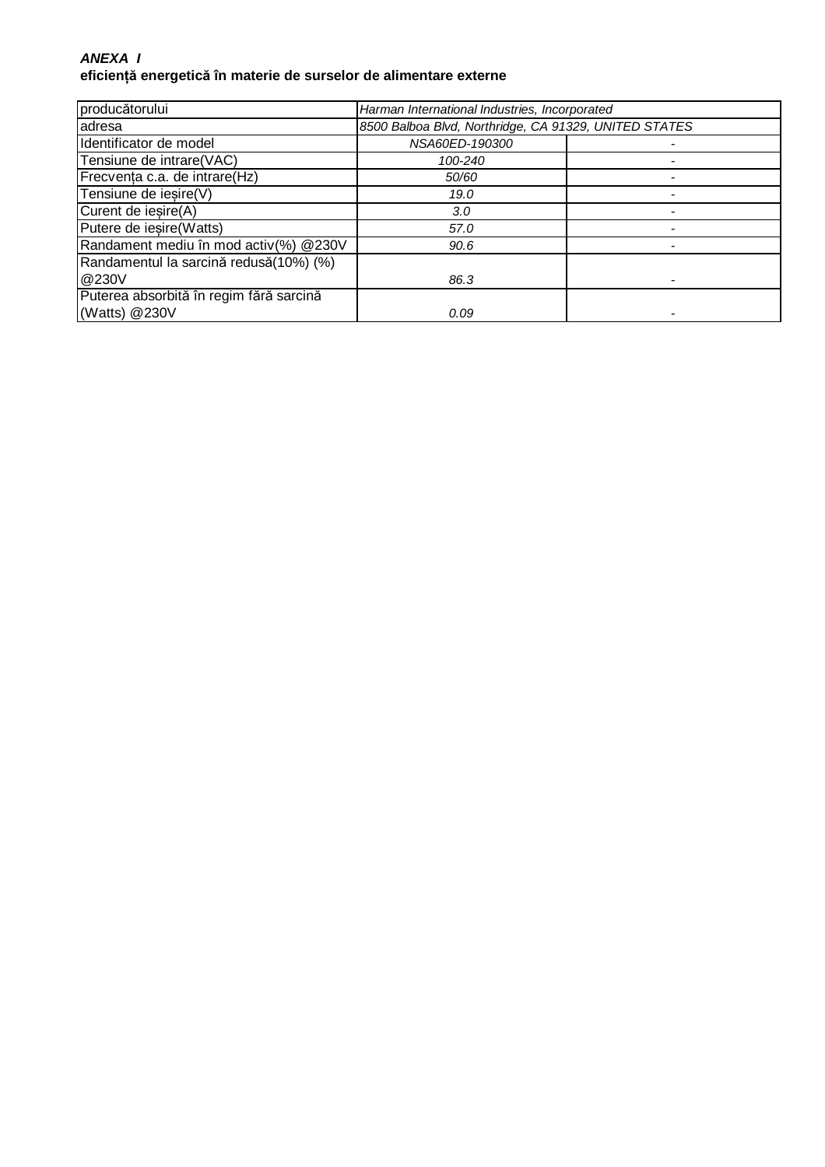### **ANEXA I eficiență energetică în materie de surselor de alimentare externe**

| producătorului                          | Harman International Industries, Incorporated         |  |
|-----------------------------------------|-------------------------------------------------------|--|
| adresa                                  | 8500 Balboa Blvd, Northridge, CA 91329, UNITED STATES |  |
| Identificator de model                  | NSA60ED-190300                                        |  |
| Tensiune de intrare(VAC)                | 100-240                                               |  |
| Frecvența c.a. de intrare(Hz)           | 50/60                                                 |  |
| Tensiune de iesire(V)                   | 19.0                                                  |  |
| Curent de iesire(A)                     | 3.0                                                   |  |
| Putere de iesire (Watts)                | 57.0                                                  |  |
| Randament mediu în mod activ(%) @230V   | 90.6                                                  |  |
| Randamentul la sarcină redusă(10%) (%)  |                                                       |  |
| @230V                                   | 86.3                                                  |  |
| Puterea absorbită în regim fără sarcină |                                                       |  |
| (Watts) @230V                           | 0.09                                                  |  |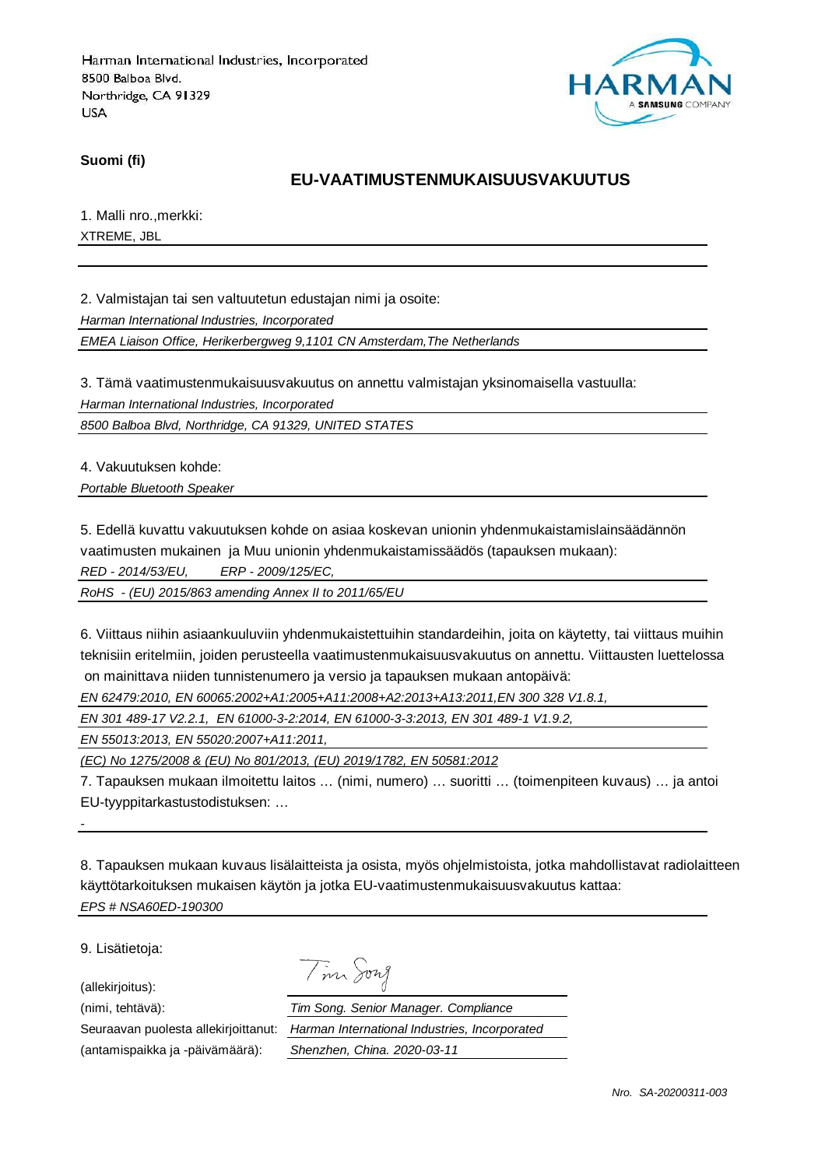

**Suomi (fi)**

## **EU-VAATIMUSTENMUKAISUUSVAKUUTUS**

1. Malli nro.,merkki: XTREME, JBL

2. Valmistajan tai sen valtuutetun edustajan nimi ja osoite:

Harman International Industries, Incorporated

EMEA Liaison Office, Herikerbergweg 9,1101 CN Amsterdam,The Netherlands

3. Tämä vaatimustenmukaisuusvakuutus on annettu valmistajan yksinomaisella vastuulla:

Harman International Industries, Incorporated

8500 Balboa Blvd, Northridge, CA 91329, UNITED STATES

4. Vakuutuksen kohde:

Portable Bluetooth Speaker

5. Edellä kuvattu vakuutuksen kohde on asiaa koskevan unionin yhdenmukaistamislainsäädännön

vaatimusten mukainen ja Muu unionin yhdenmukaistamissäädös (tapauksen mukaan):

RED - 2014/53/EU, ERP - 2009/125/EC,

RoHS - (EU) 2015/863 amending Annex II to 2011/65/EU

6. Viittaus niihin asiaankuuluviin yhdenmukaistettuihin standardeihin, joita on käytetty, tai viittaus muihin teknisiin eritelmiin, joiden perusteella vaatimustenmukaisuusvakuutus on annettu. Viittausten luettelossa on mainittava niiden tunnistenumero ja versio ja tapauksen mukaan antopäivä:

EN 62479:2010, EN 60065:2002+A1:2005+A11:2008+A2:2013+A13:2011,EN 300 328 V1.8.1,

EN 301 489-17 V2.2.1, EN 61000-3-2:2014, EN 61000-3-3:2013, EN 301 489-1 V1.9.2,

EN 55013:2013, EN 55020:2007+A11:2011,

(EC) No 1275/2008 & (EU) No 801/2013, (EU) 2019/1782, EN 50581:2012

7. Tapauksen mukaan ilmoitettu laitos … (nimi, numero) … suoritti … (toimenpiteen kuvaus) … ja antoi EU-tyyppitarkastustodistuksen: …

8. Tapauksen mukaan kuvaus lisälaitteista ja osista, myös ohjelmistoista, jotka mahdollistavat radiolaitteen käyttötarkoituksen mukaisen käytön ja jotka EU-vaatimustenmukaisuusvakuutus kattaa: EPS # NSA60ED-190300

9. Lisätietoja:

-

(allekirjoitus):

(antamispaikka ja -päivämäärä): Shenzhen, China. 2020-03-11

Tim Song

(nimi, tehtävä): Tim Song. Senior Manager. Compliance Seuraavan puolesta allekirjoittanut: Harman International Industries, Incorporated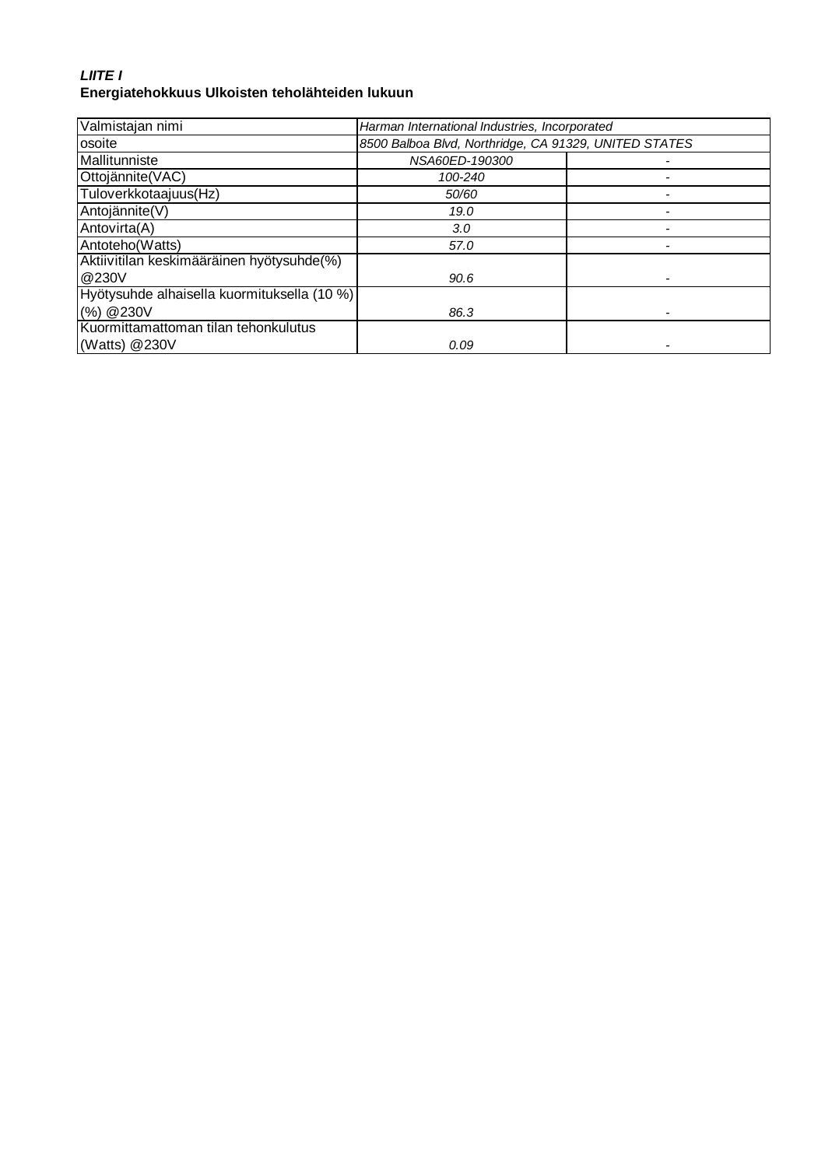## **LIITE I Energiatehokkuus Ulkoisten teholähteiden lukuun**

| Valmistajan nimi                            | Harman International Industries, Incorporated         |  |
|---------------------------------------------|-------------------------------------------------------|--|
| osoite                                      | 8500 Balboa Blvd, Northridge, CA 91329, UNITED STATES |  |
| Mallitunniste                               | NSA60ED-190300                                        |  |
| Ottojännite(VAC)                            | 100-240                                               |  |
| Tuloverkkotaajuus(Hz)                       | 50/60                                                 |  |
| Antojännite(V)                              | 19.0                                                  |  |
| Antovirta(A)                                | 3.0                                                   |  |
| Antoteho(Watts)                             | 57.0                                                  |  |
| Aktiivitilan keskimääräinen hyötysuhde(%)   |                                                       |  |
| @230V                                       | 90.6                                                  |  |
| Hyötysuhde alhaisella kuormituksella (10 %) |                                                       |  |
| (%) @ 230V                                  | 86.3                                                  |  |
| Kuormittamattoman tilan tehonkulutus        |                                                       |  |
| (Watts) @230V                               | 0.09                                                  |  |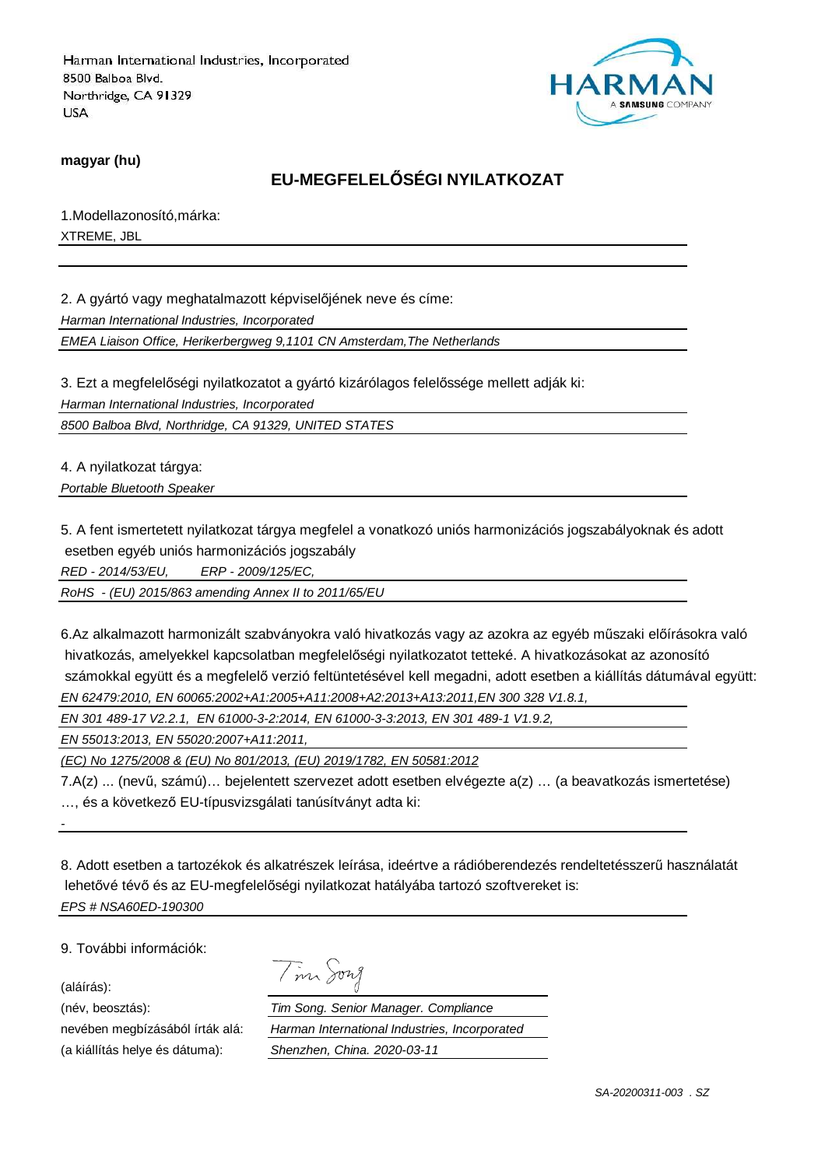

**magyar (hu)**

## **EU-MEGFELELŐSÉGI NYILATKOZAT**

1.Modellazonosító,márka: XTREME, JBL

2. A gyártó vagy meghatalmazott képviselőjének neve és címe:

Harman International Industries, Incorporated

EMEA Liaison Office, Herikerbergweg 9,1101 CN Amsterdam,The Netherlands

3. Ezt a megfelelőségi nyilatkozatot a gyártó kizárólagos felelőssége mellett adják ki:

Harman International Industries, Incorporated

8500 Balboa Blvd, Northridge, CA 91329, UNITED STATES

4. A nyilatkozat tárgya:

Portable Bluetooth Speaker

5. A fent ismertetett nyilatkozat tárgya megfelel a vonatkozó uniós harmonizációs jogszabályoknak és adott esetben egyéb uniós harmonizációs jogszabály

RED - 2014/53/EU, ERP - 2009/125/EC,

RoHS - (EU) 2015/863 amending Annex II to 2011/65/EU

6.Az alkalmazott harmonizált szabványokra való hivatkozás vagy az azokra az egyéb műszaki előírásokra való hivatkozás, amelyekkel kapcsolatban megfelelőségi nyilatkozatot tetteké. A hivatkozásokat az azonosító számokkal együtt és a megfelelő verzió feltüntetésével kell megadni, adott esetben a kiállítás dátumával együtt: EN 62479:2010, EN 60065:2002+A1:2005+A11:2008+A2:2013+A13:2011,EN 300 328 V1.8.1,

EN 301 489-17 V2.2.1, EN 61000-3-2:2014, EN 61000-3-3:2013, EN 301 489-1 V1.9.2,

EN 55013:2013, EN 55020:2007+A11:2011,

(EC) No 1275/2008 & (EU) No 801/2013, (EU) 2019/1782, EN 50581:2012

7.A(z) ... (nevű, számú)… bejelentett szervezet adott esetben elvégezte a(z) … (a beavatkozás ismertetése) …, és a következő EU-típusvizsgálati tanúsítványt adta ki:

8. Adott esetben a tartozékok és alkatrészek leírása, ideértve a rádióberendezés rendeltetésszerű használatát lehetővé tévő és az EU-megfelelőségi nyilatkozat hatályába tartozó szoftvereket is: EPS # NSA60ED-190300

9. További információk:

(aláírás):

-

(név, beosztás):

nevében megbízásából írták alá: (a kiállítás helye és dátuma):

| Tim Song                                      |
|-----------------------------------------------|
| Tim Song. Senior Manager. Compliance          |
| Harman International Industries, Incorporated |
| Shenzhen, China. 2020-03-11                   |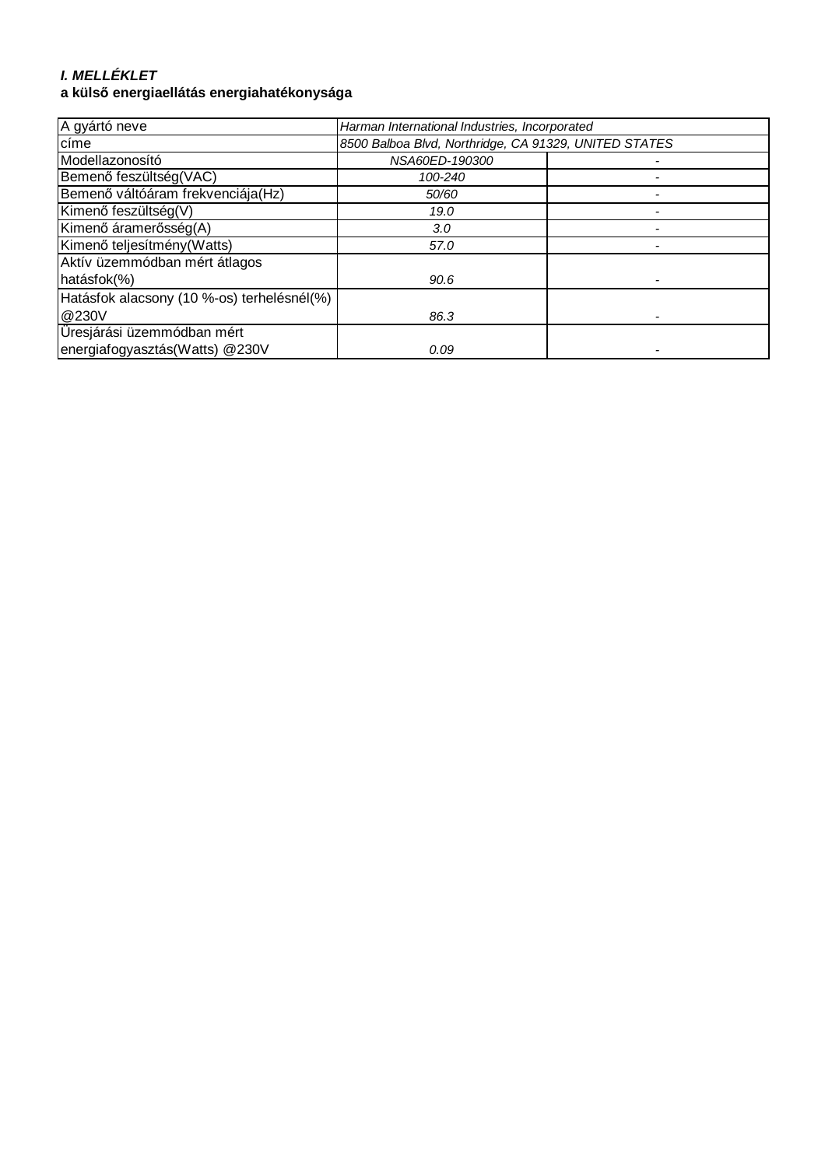# **I. MELLÉKLET**

## **a külső energiaellátás energiahatékonysága**

| A gyártó neve                              | Harman International Industries, Incorporated         |  |
|--------------------------------------------|-------------------------------------------------------|--|
| címe                                       | 8500 Balboa Blvd, Northridge, CA 91329, UNITED STATES |  |
| Modellazonosító                            | NSA60ED-190300                                        |  |
| Bemenő feszültség(VAC)                     | 100-240                                               |  |
| Bemenő váltóáram frekvenciája(Hz)          | 50/60                                                 |  |
| Kimenő feszültség(V)                       | 19.0                                                  |  |
| Kimenő áramerősség(A)                      | 3.0                                                   |  |
| Kimenő teljesítmény (Watts)                | 57.0                                                  |  |
| Aktív üzemmódban mért átlagos              |                                                       |  |
| hatásfok(%)                                | 90.6                                                  |  |
| Hatásfok alacsony (10 %-os) terhelésnél(%) |                                                       |  |
| @230V                                      | 86.3                                                  |  |
| Üresjárási üzemmódban mért                 |                                                       |  |
| energiafogyasztás(Watts) @230V             | 0.09                                                  |  |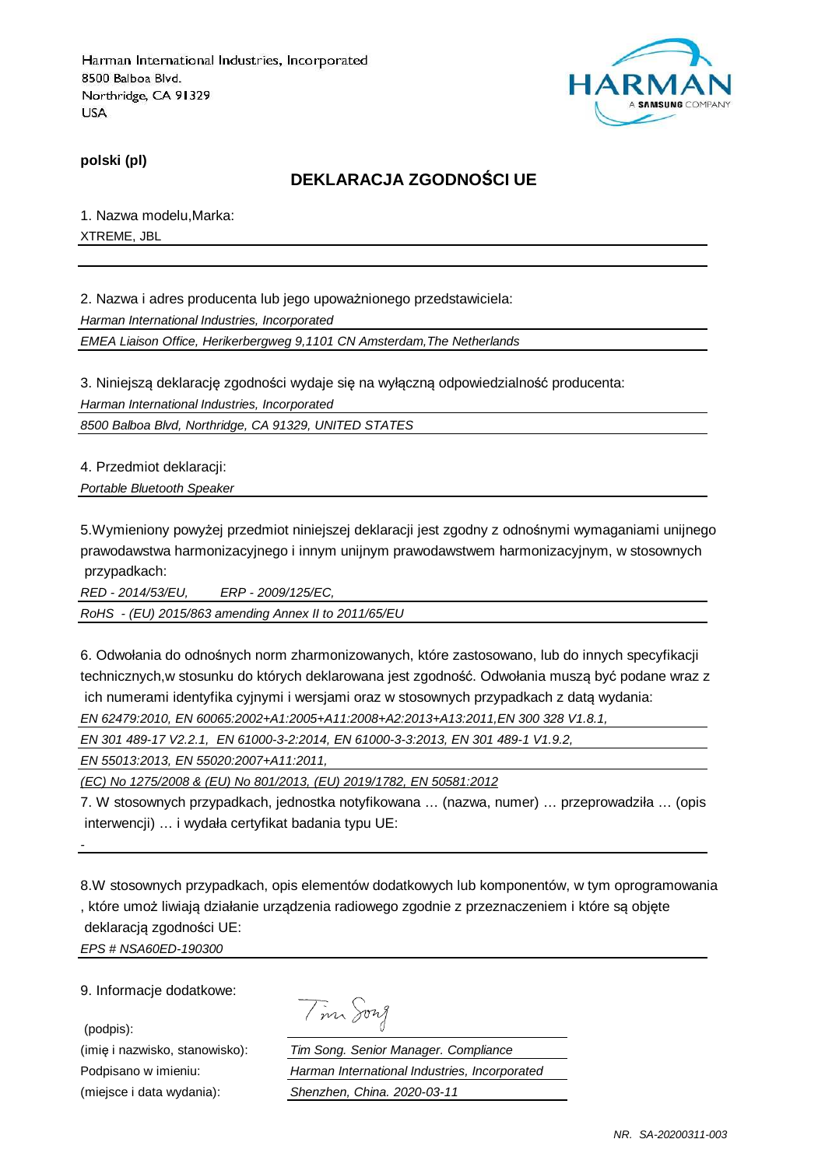

**polski (pl)**

## **DEKLARACJA ZGODNOŚCI UE**

1. Nazwa modelu,Marka: XTREME, JBL

2. Nazwa i adres producenta lub jego upoważnionego przedstawiciela: Harman International Industries, Incorporated

EMEA Liaison Office, Herikerbergweg 9,1101 CN Amsterdam,The Netherlands

3. Niniejszą deklarację zgodności wydaje się na wyłączną odpowiedzialność producenta: Harman International Industries, Incorporated

8500 Balboa Blvd, Northridge, CA 91329, UNITED STATES

4. Przedmiot deklaracji:

Portable Bluetooth Speaker

5.Wymieniony powyżej przedmiot niniejszej deklaracji jest zgodny z odnośnymi wymaganiami unijnego prawodawstwa harmonizacyjnego i innym unijnym prawodawstwem harmonizacyjnym, w stosownych przypadkach:

RED - 2014/53/EU, ERP - 2009/125/EC,

RoHS - (EU) 2015/863 amending Annex II to 2011/65/EU

6. Odwołania do odnośnych norm zharmonizowanych, które zastosowano, lub do innych specyfikacji technicznych,w stosunku do których deklarowana jest zgodność. Odwołania muszą być podane wraz z ich numerami identyfika cyjnymi i wersjami oraz w stosownych przypadkach z datą wydania: EN 62479:2010, EN 60065:2002+A1:2005+A11:2008+A2:2013+A13:2011,EN 300 328 V1.8.1,

EN 301 489-17 V2.2.1, EN 61000-3-2:2014, EN 61000-3-3:2013, EN 301 489-1 V1.9.2,

EN 55013:2013, EN 55020:2007+A11:2011,

(EC) No 1275/2008 & (EU) No 801/2013, (EU) 2019/1782, EN 50581:2012

7. W stosownych przypadkach, jednostka notyfikowana … (nazwa, numer) … przeprowadziła … (opis interwencji) … i wydała certyfikat badania typu UE:

8.W stosownych przypadkach, opis elementów dodatkowych lub komponentów, w tym oprogramowania , które umoż liwiają działanie urządzenia radiowego zgodnie z przeznaczeniem i które są objęte deklaracją zgodności UE: EPS # NSA60ED-190300

9. Informacje dodatkowe:

-

(podpis):

Tim Song

(imię i nazwisko, stanowisko): Tim Song. Senior Manager. Compliance Podpisano w imieniu: Harman International Industries, Incorporated (miejsce i data wydania): Shenzhen, China. 2020-03-11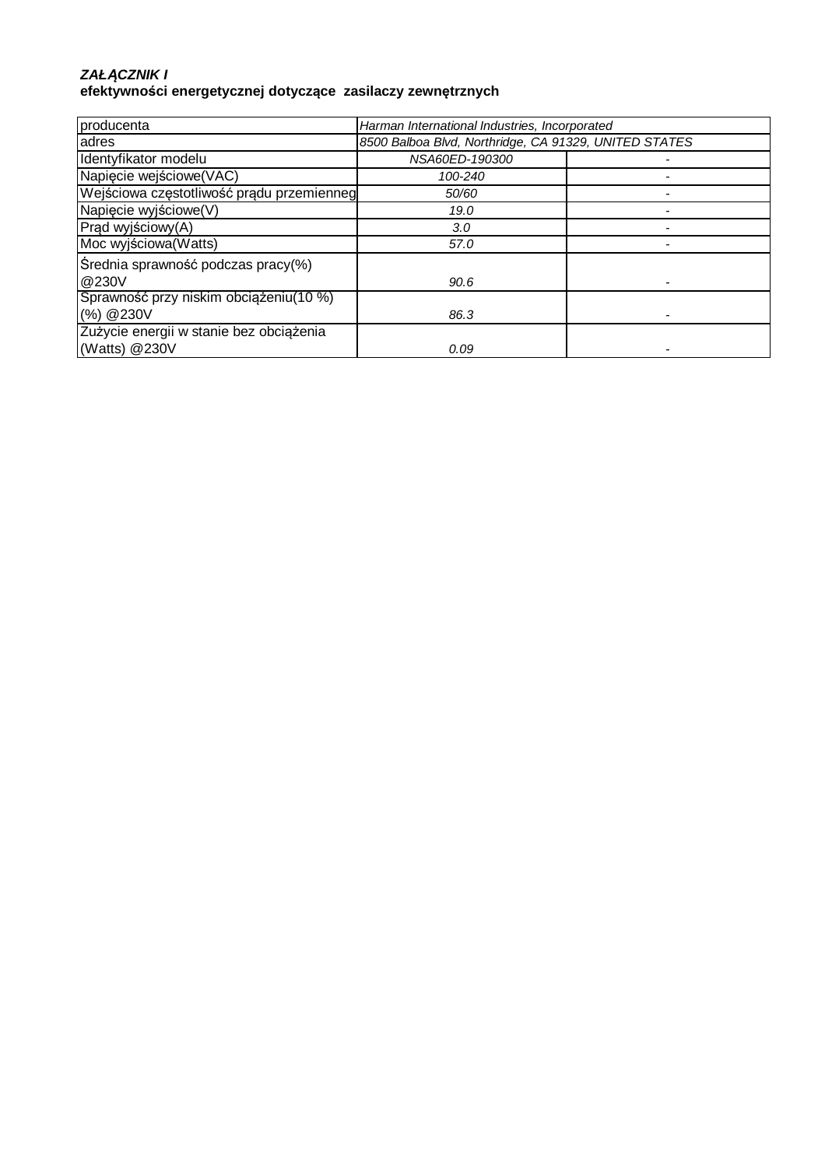#### **ZAŁ***Ą***CZNIK I efektywności energetycznej dotyczące zasilaczy zewnętrznych**

| producenta                                | Harman International Industries, Incorporated         |  |
|-------------------------------------------|-------------------------------------------------------|--|
| adres                                     | 8500 Balboa Blvd, Northridge, CA 91329, UNITED STATES |  |
| Identyfikator modelu                      | NSA60ED-190300                                        |  |
| Napięcie wejściowe(VAC)                   | 100-240                                               |  |
| Wejściowa częstotliwość prądu przemienneg | 50/60                                                 |  |
| Napięcie wyjściowe(V)                     | 19.0                                                  |  |
| Prąd wyjściowy(A)                         | 3.0                                                   |  |
| Moc wyjściowa (Watts)                     | 57.0                                                  |  |
| Średnia sprawność podczas pracy(%)        |                                                       |  |
| @230V                                     | 90.6                                                  |  |
| Sprawność przy niskim obciążeniu (10 %)   |                                                       |  |
| (%) @230V                                 | 86.3                                                  |  |
| Zużycie energii w stanie bez obciążenia   |                                                       |  |
| (Watts) @230V                             | 0.09                                                  |  |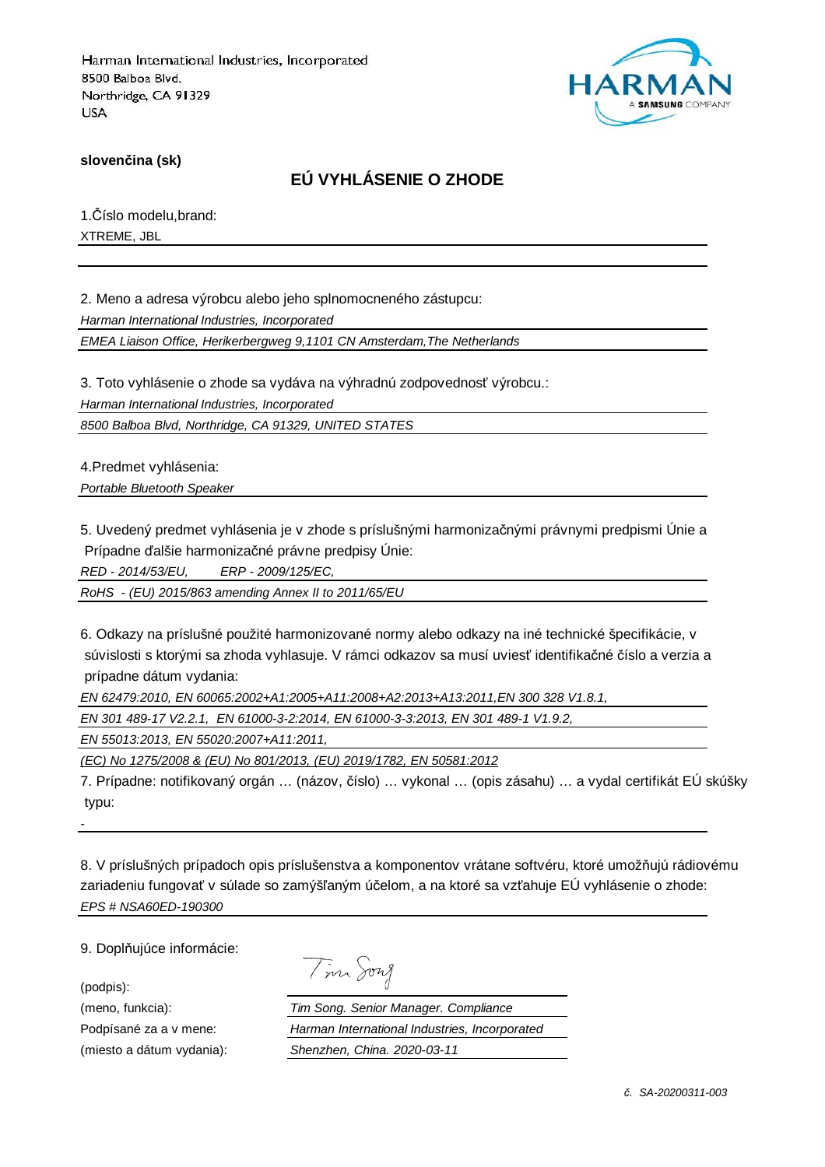

**slovenčina (sk)**

## **EÚ VYHLÁSENIE O ZHODE**

1.Číslo modelu,brand: XTREME, JBL

2. Meno a adresa výrobcu alebo jeho splnomocneného zástupcu: Harman International Industries, Incorporated

EMEA Liaison Office, Herikerbergweg 9,1101 CN Amsterdam,The Netherlands

3. Toto vyhlásenie o zhode sa vydáva na výhradnú zodpovednosť výrobcu.:

Harman International Industries, Incorporated

8500 Balboa Blvd, Northridge, CA 91329, UNITED STATES

4.Predmet vyhlásenia: Portable Bluetooth Speaker

5. Uvedený predmet vyhlásenia je v zhode s príslušnými harmonizačnými právnymi predpismi Únie a

Prípadne ďalšie harmonizačné právne predpisy Únie:

RED - 2014/53/EU, ERP - 2009/125/EC,

RoHS - (EU) 2015/863 amending Annex II to 2011/65/EU

6. Odkazy na príslušné použité harmonizované normy alebo odkazy na iné technické špecifikácie, v súvislosti s ktorými sa zhoda vyhlasuje. V rámci odkazov sa musí uviesť identifikačné číslo a verzia a prípadne dátum vydania:

EN 62479:2010, EN 60065:2002+A1:2005+A11:2008+A2:2013+A13:2011,EN 300 328 V1.8.1,

EN 301 489-17 V2.2.1, EN 61000-3-2:2014, EN 61000-3-3:2013, EN 301 489-1 V1.9.2,

EN 55013:2013, EN 55020:2007+A11:2011,

(EC) No 1275/2008 & (EU) No 801/2013, (EU) 2019/1782, EN 50581:2012

7. Prípadne: notifikovaný orgán … (názov, číslo) … vykonal … (opis zásahu) … a vydal certifikát EÚ skúšky typu:

8. V príslušných prípadoch opis príslušenstva a komponentov vrátane softvéru, ktoré umožňujú rádiovému zariadeniu fungovať v súlade so zamýšľaným účelom, a na ktoré sa vzťahuje EÚ vyhlásenie o zhode: EPS # NSA60ED-190300

9. Doplňujúce informácie:

(podpis):

-

| $\Lambda$ | sont |
|-----------|------|
|           |      |

(meno, funkcia): Tim Song. Senior Manager. Compliance Podpísané za a v mene: Harman International Industries, Incorporated (miesto a dátum vydania): Shenzhen, China. 2020-03-11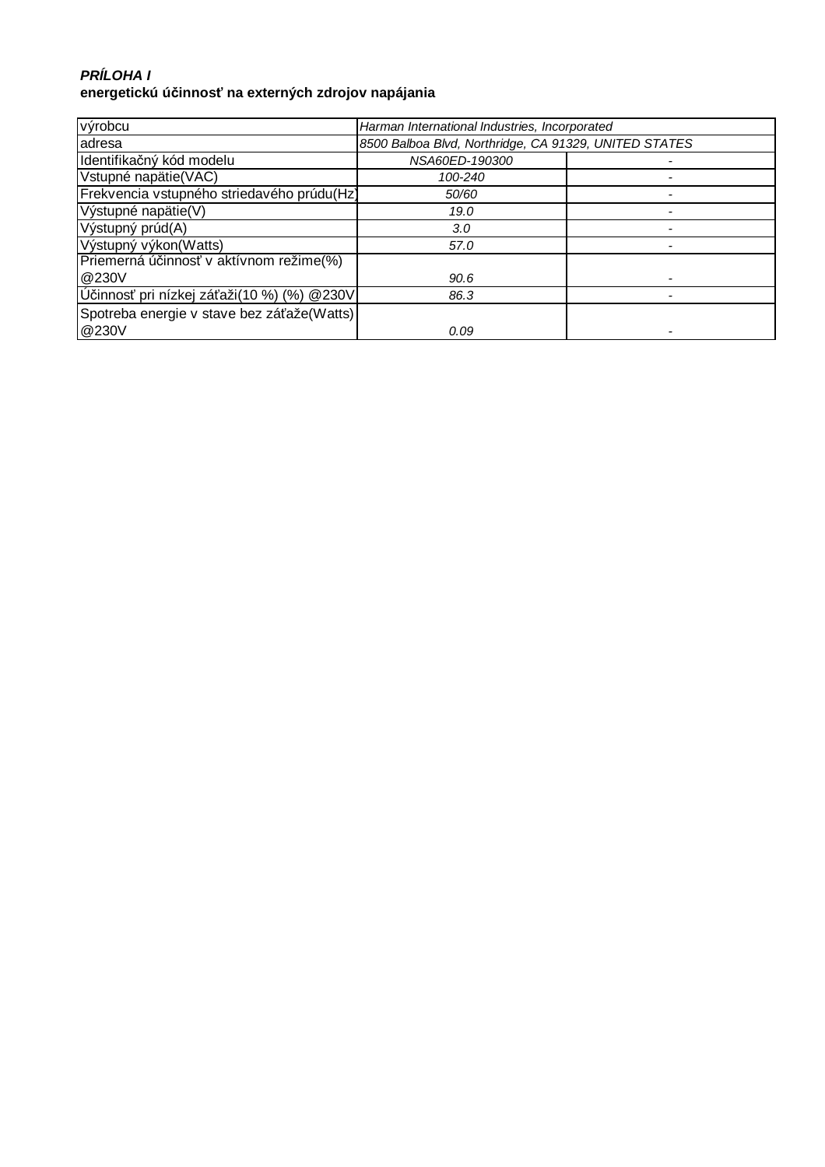## **PRÍLOHA I energetickú účinnosť na externých zdrojov napájania**

| výrobcu                                    | Harman International Industries, Incorporated         |  |
|--------------------------------------------|-------------------------------------------------------|--|
| adresa                                     | 8500 Balboa Blvd, Northridge, CA 91329, UNITED STATES |  |
| Identifikačný kód modelu                   | NSA60ED-190300                                        |  |
| Vstupné napätie(VAC)                       | 100-240                                               |  |
| Frekvencia vstupného striedavého prúdu(Hz) | 50/60                                                 |  |
| Výstupné napätie(V)                        | 19.0                                                  |  |
| Výstupný prúd(A)                           | 3.0                                                   |  |
| Výstupný výkon(Watts)                      | 57.0                                                  |  |
| Priemerná účinnosť v aktívnom režime(%)    |                                                       |  |
| @230V                                      | 90.6                                                  |  |
| Účinnosť pri nízkej záťaži(10 %) (%) @230V | 86.3                                                  |  |
| Spotreba energie v stave bez záťaže(Watts) |                                                       |  |
| @230V                                      | 0.09                                                  |  |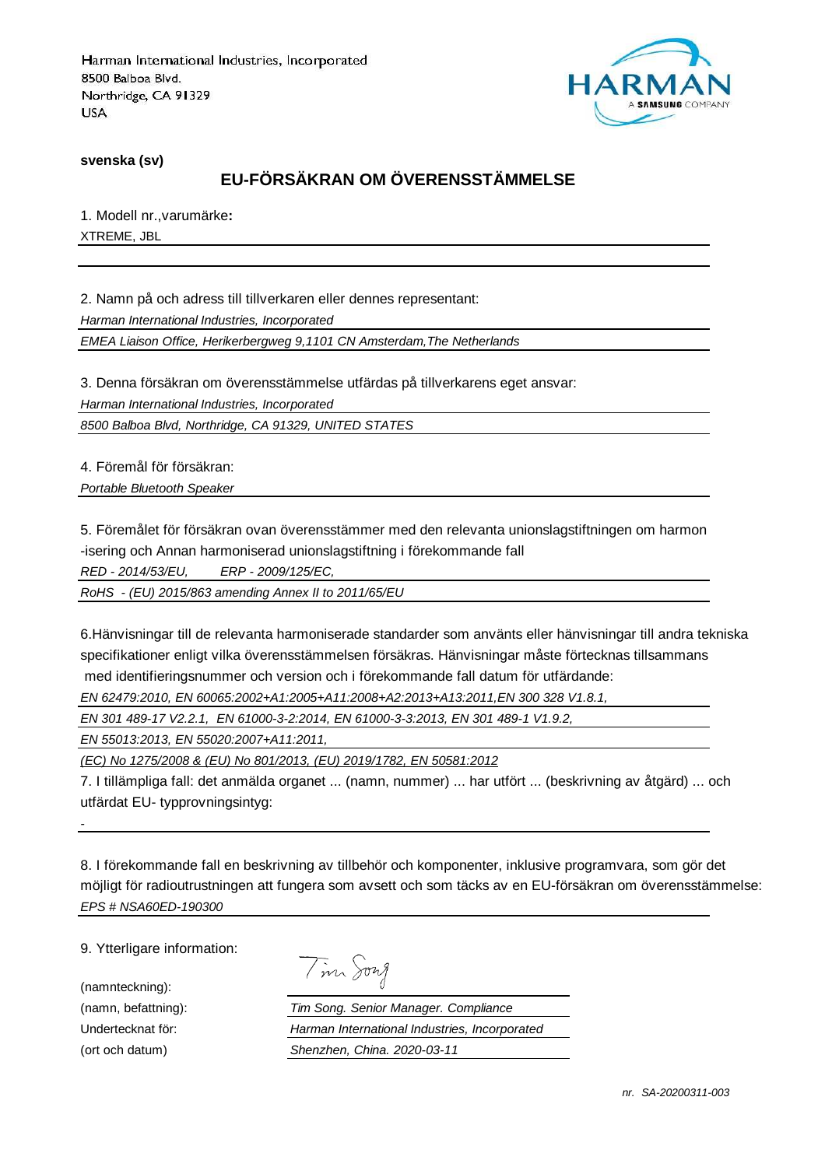

**svenska (sv)**

# **EU-FÖRSÄKRAN OM ÖVERENSSTÄMMELSE**

1. Modell nr.,varumärke**:** XTREME, JBL

2. Namn på och adress till tillverkaren eller dennes representant: Harman International Industries, Incorporated EMEA Liaison Office, Herikerbergweg 9,1101 CN Amsterdam,The Netherlands

3. Denna försäkran om överensstämmelse utfärdas på tillverkarens eget ansvar:

Harman International Industries, Incorporated

8500 Balboa Blvd, Northridge, CA 91329, UNITED STATES

4. Föremål för försäkran: Portable Bluetooth Speaker

5. Föremålet för försäkran ovan överensstämmer med den relevanta unionslagstiftningen om harmon -isering och Annan harmoniserad unionslagstiftning i förekommande fall

RED - 2014/53/EU, ERP - 2009/125/EC,

RoHS - (EU) 2015/863 amending Annex II to 2011/65/EU

6.Hänvisningar till de relevanta harmoniserade standarder som använts eller hänvisningar till andra tekniska specifikationer enligt vilka överensstämmelsen försäkras. Hänvisningar måste förtecknas tillsammans med identifieringsnummer och version och i förekommande fall datum för utfärdande:

EN 62479:2010, EN 60065:2002+A1:2005+A11:2008+A2:2013+A13:2011,EN 300 328 V1.8.1,

EN 301 489-17 V2.2.1, EN 61000-3-2:2014, EN 61000-3-3:2013, EN 301 489-1 V1.9.2,

EN 55013:2013, EN 55020:2007+A11:2011,

(EC) No 1275/2008 & (EU) No 801/2013, (EU) 2019/1782, EN 50581:2012

7. I tillämpliga fall: det anmälda organet ... (namn, nummer) ... har utfört ... (beskrivning av åtgärd) ... och utfärdat EU- typprovningsintyg:

8. I förekommande fall en beskrivning av tillbehör och komponenter, inklusive programvara, som gör det möjligt för radioutrustningen att fungera som avsett och som täcks av en EU-försäkran om överensstämmelse: EPS # NSA60ED-190300

9. Ytterligare information:

(namnteckning):

-

Tim Song

(namn, befattning): Tim Song. Senior Manager. Compliance Undertecknat för: Harman International Industries, Incorporated (ort och datum) Shenzhen, China. 2020-03-11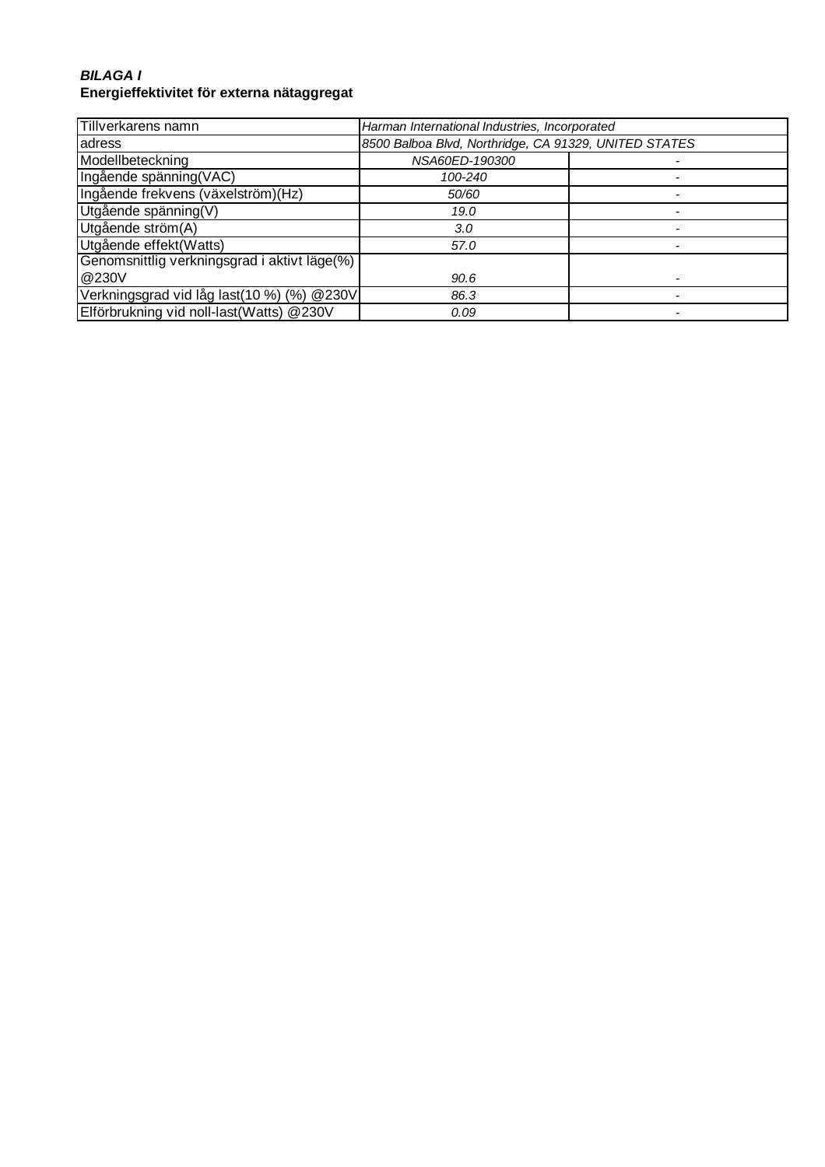### **BILAGA I Energieffektivitet för externa nätaggregat**

| Tillverkarens namn                           | Harman International Industries, Incorporated         |  |
|----------------------------------------------|-------------------------------------------------------|--|
| adress                                       | 8500 Balboa Blvd, Northridge, CA 91329, UNITED STATES |  |
| Modellbeteckning                             | NSA60ED-190300                                        |  |
| Ingående spänning(VAC)                       | 100-240                                               |  |
| Ingående frekvens (växelström)(Hz)           | 50/60                                                 |  |
| Utgående spänning(V)                         | 19.0                                                  |  |
| Utgående ström(A)                            | 3.0                                                   |  |
| Utgående effekt(Watts)                       | 57.0                                                  |  |
| Genomsnittlig verkningsgrad i aktivt läge(%) |                                                       |  |
| @230V                                        | 90.6                                                  |  |
| Verkningsgrad vid låg last(10 %) (%) @230V   | 86.3                                                  |  |
| Elförbrukning vid noll-last(Watts) @230V     | 0.09                                                  |  |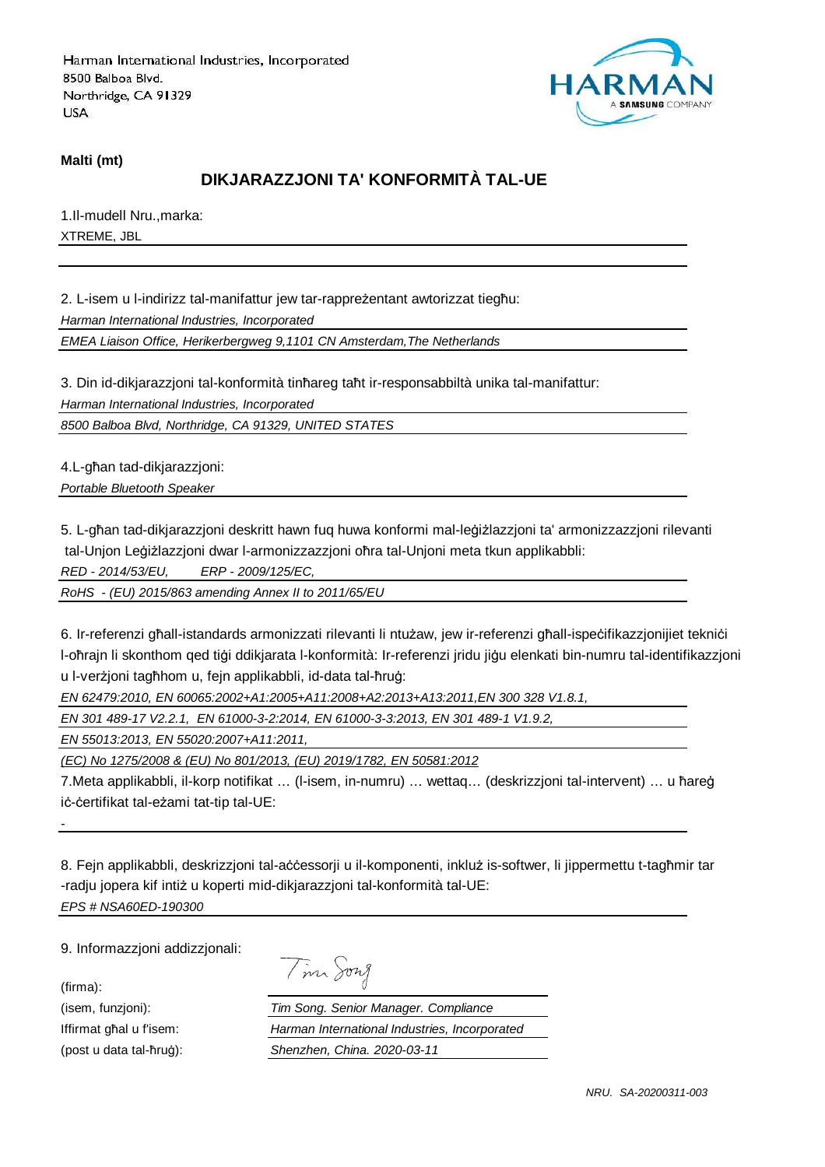

**Malti (mt)**

## **DIKJARAZZJONI TA' KONFORMITÀ TAL-UE**

1.Il-mudell Nru.,marka: XTREME, JBL

2. L-isem u l-indirizz tal-manifattur jew tar-rappreżentant awtorizzat tiegħu:

Harman International Industries, Incorporated

EMEA Liaison Office, Herikerbergweg 9,1101 CN Amsterdam,The Netherlands

3. Din id-dikjarazzjoni tal-konformità tinħareg taħt ir-responsabbiltà unika tal-manifattur:

Harman International Industries, Incorporated

8500 Balboa Blvd, Northridge, CA 91329, UNITED STATES

4.L-għan tad-dikjarazzjoni: Portable Bluetooth Speaker

5. L-għan tad-dikjarazzjoni deskritt hawn fuq huwa konformi mal-leġiżlazzjoni ta' armonizzazzjoni rilevanti tal-Unjon Leġiżlazzjoni dwar l-armonizzazzjoni oħra tal-Unjoni meta tkun applikabbli:

RED - 2014/53/EU, ERP - 2009/125/EC,

RoHS - (EU) 2015/863 amending Annex II to 2011/65/EU

6. Ir-referenzi għall-istandards armonizzati rilevanti li ntużaw, jew ir-referenzi għall-ispeċifikazzjonijiet tekniċi l-oħrajn li skonthom qed tiġi ddikjarata l-konformità: Ir-referenzi jridu jiġu elenkati bin-numru tal-identifikazzjoni u l-verżjoni tagħhom u, fejn applikabbli, id-data tal-ħruġ:

EN 62479:2010, EN 60065:2002+A1:2005+A11:2008+A2:2013+A13:2011,EN 300 328 V1.8.1,

EN 301 489-17 V2.2.1, EN 61000-3-2:2014, EN 61000-3-3:2013, EN 301 489-1 V1.9.2,

EN 55013:2013, EN 55020:2007+A11:2011,

(EC) No 1275/2008 & (EU) No 801/2013, (EU) 2019/1782, EN 50581:2012

7.Meta applikabbli, il-korp notifikat … (l-isem, in-numru) … wettaq… (deskrizzjoni tal-intervent) … u ħareġ iċ-ċertifikat tal-eżami tat-tip tal-UE:

8. Fejn applikabbli, deskrizzjoni tal-aċċessorji u il-komponenti, inkluż is-softwer, li jippermettu t-tagħmir tar -radju jopera kif intiż u koperti mid-dikjarazzjoni tal-konformità tal-UE: EPS # NSA60ED-190300

9. Informazzjoni addizzjonali:

(firma):

-

Tim Song

(isem, funzjoni): Tim Song. Senior Manager. Compliance Iffirmat għal u f'isem: Harman International Industries, Incorporated (post u data tal-ħruġ): Shenzhen, China. 2020-03-11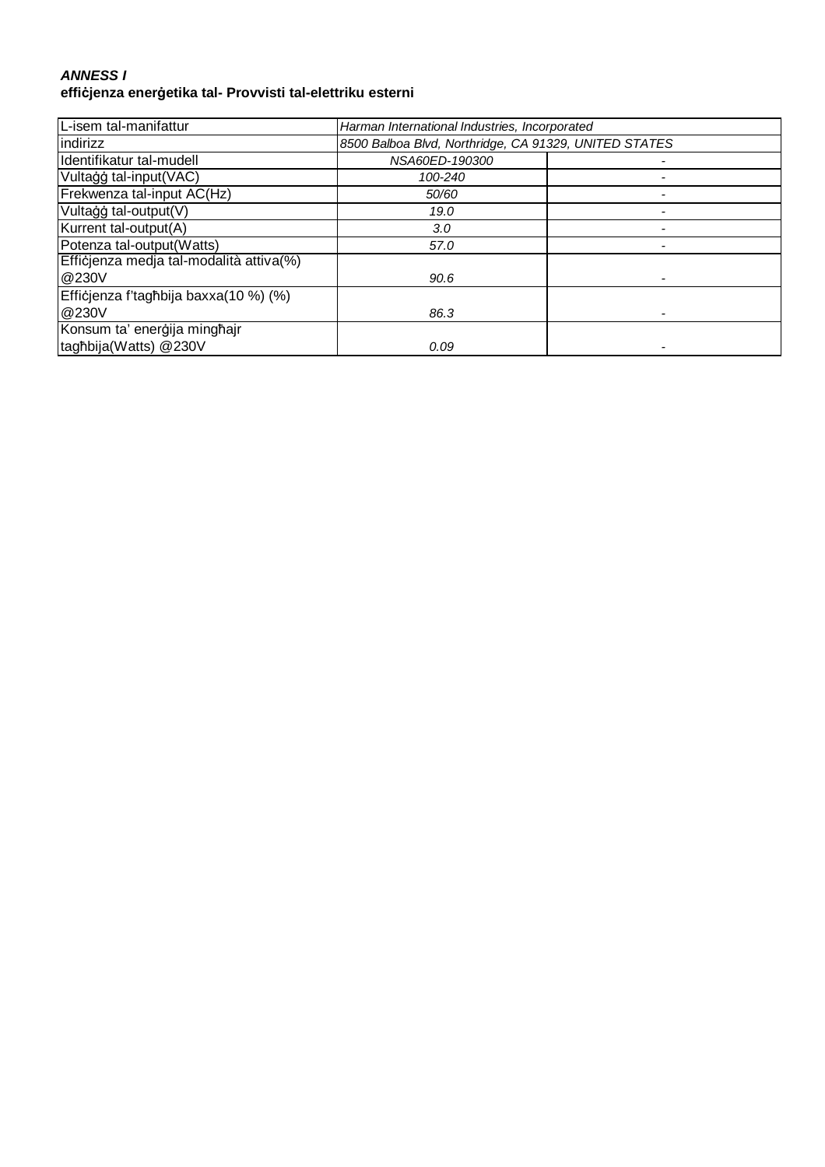#### **ANNESS I effiċjenza enerġetika tal- Provvisti tal-elettriku esterni**

| L-isem tal-manifattur                   | Harman International Industries, Incorporated         |  |
|-----------------------------------------|-------------------------------------------------------|--|
| indirizz                                | 8500 Balboa Blvd, Northridge, CA 91329, UNITED STATES |  |
| Identifikatur tal-mudell                | NSA60ED-190300                                        |  |
| Vultaģģ tal-input(VAC)                  | 100-240                                               |  |
| Frekwenza tal-input AC(Hz)              | 50/60                                                 |  |
| Vultaģģ tal-output(V)                   | 19.0                                                  |  |
| Kurrent tal-output(A)                   | 3.0 <sub>1</sub>                                      |  |
| Potenza tal-output(Watts)               | 57.0                                                  |  |
| Efficjenza medja tal-modalità attiva(%) |                                                       |  |
| @230V                                   | 90.6                                                  |  |
| Efficjenza f'tagħbija baxxa(10 %) (%)   |                                                       |  |
| @230V                                   | 86.3                                                  |  |
| Konsum ta' enerģija minghajr            |                                                       |  |
| taghbija(Watts) @230V                   | 0.09                                                  |  |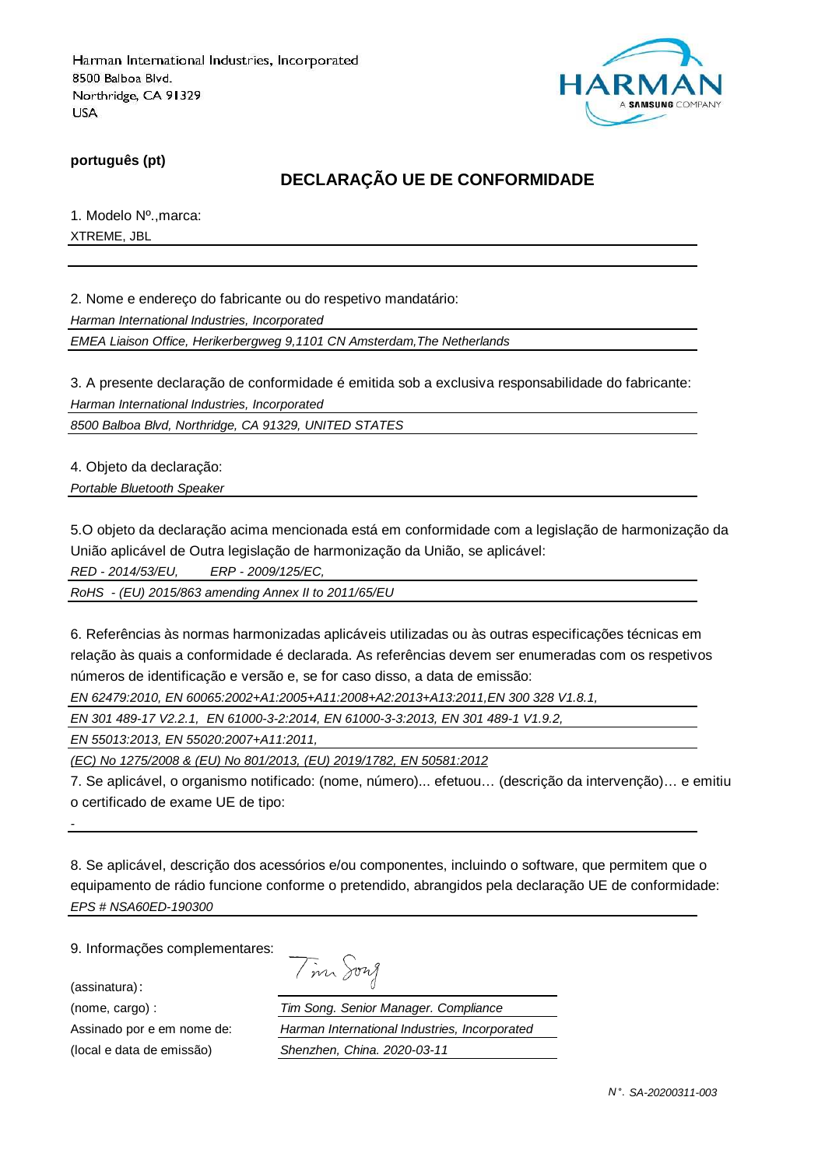

**português (pt)**

## **DECLARAÇÃO UE DE CONFORMIDADE**

1. Modelo Nº.,marca: XTREME, JBL

2. Nome e endereço do fabricante ou do respetivo mandatário:

Harman International Industries, Incorporated

EMEA Liaison Office, Herikerbergweg 9,1101 CN Amsterdam,The Netherlands

3. A presente declaração de conformidade é emitida sob a exclusiva responsabilidade do fabricante: Harman International Industries, Incorporated

8500 Balboa Blvd, Northridge, CA 91329, UNITED STATES

4. Objeto da declaração:

Portable Bluetooth Speaker

5.O objeto da declaração acima mencionada está em conformidade com a legislação de harmonização da União aplicável de Outra legislação de harmonização da União, se aplicável:

RED - 2014/53/EU, ERP - 2009/125/EC,

RoHS - (EU) 2015/863 amending Annex II to 2011/65/EU

6. Referências às normas harmonizadas aplicáveis utilizadas ou às outras especificações técnicas em relação às quais a conformidade é declarada. As referências devem ser enumeradas com os respetivos números de identificação e versão e, se for caso disso, a data de emissão:

EN 62479:2010, EN 60065:2002+A1:2005+A11:2008+A2:2013+A13:2011,EN 300 328 V1.8.1,

EN 301 489-17 V2.2.1, EN 61000-3-2:2014, EN 61000-3-3:2013, EN 301 489-1 V1.9.2,

EN 55013:2013, EN 55020:2007+A11:2011,

(EC) No 1275/2008 & (EU) No 801/2013, (EU) 2019/1782, EN 50581:2012

7. Se aplicável, o organismo notificado: (nome, número)... efetuou… (descrição da intervenção)… e emitiu o certificado de exame UE de tipo:

8. Se aplicável, descrição dos acessórios e/ou componentes, incluindo o software, que permitem que o equipamento de rádio funcione conforme o pretendido, abrangidos pela declaração UE de conformidade: EPS # NSA60ED-190300

9. Informações complementares:

(assinatura):

-

(nome, cargo) : Tim Song. Senior Manager. Compliance Assinado por e em nome de: Harman International Industries, Incorporated (local e data de emissão) Shenzhen, China. 2020-03-11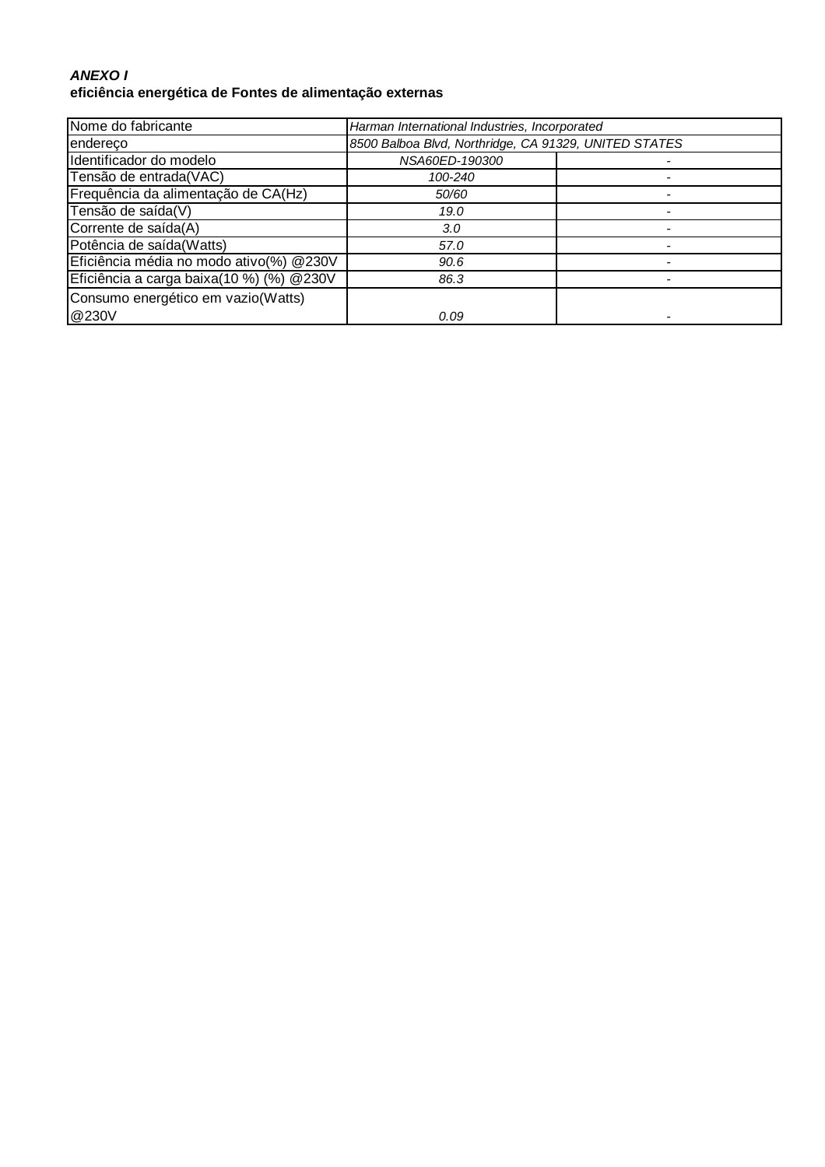### **ANEXO I eficiência energética de Fontes de alimentação externas**

| Nome do fabricante                        | Harman International Industries, Incorporated         |  |
|-------------------------------------------|-------------------------------------------------------|--|
| endereco                                  | 8500 Balboa Blvd, Northridge, CA 91329, UNITED STATES |  |
| Identificador do modelo                   | NSA60ED-190300                                        |  |
| Tensão de entrada(VAC)                    | 100-240                                               |  |
| Frequência da alimentação de CA(Hz)       | 50/60                                                 |  |
| Tensão de saída(V)                        | 19.0                                                  |  |
| Corrente de saída(A)                      | 3.0                                                   |  |
| Potência de saída(Watts)                  | 57.0                                                  |  |
| Eficiência média no modo ativo(%) @230V   | 90.6                                                  |  |
| Eficiência a carga baixa(10 %) (%) @ 230V | 86.3                                                  |  |
| Consumo energético em vazio(Watts)        |                                                       |  |
| @230V                                     | 0.09                                                  |  |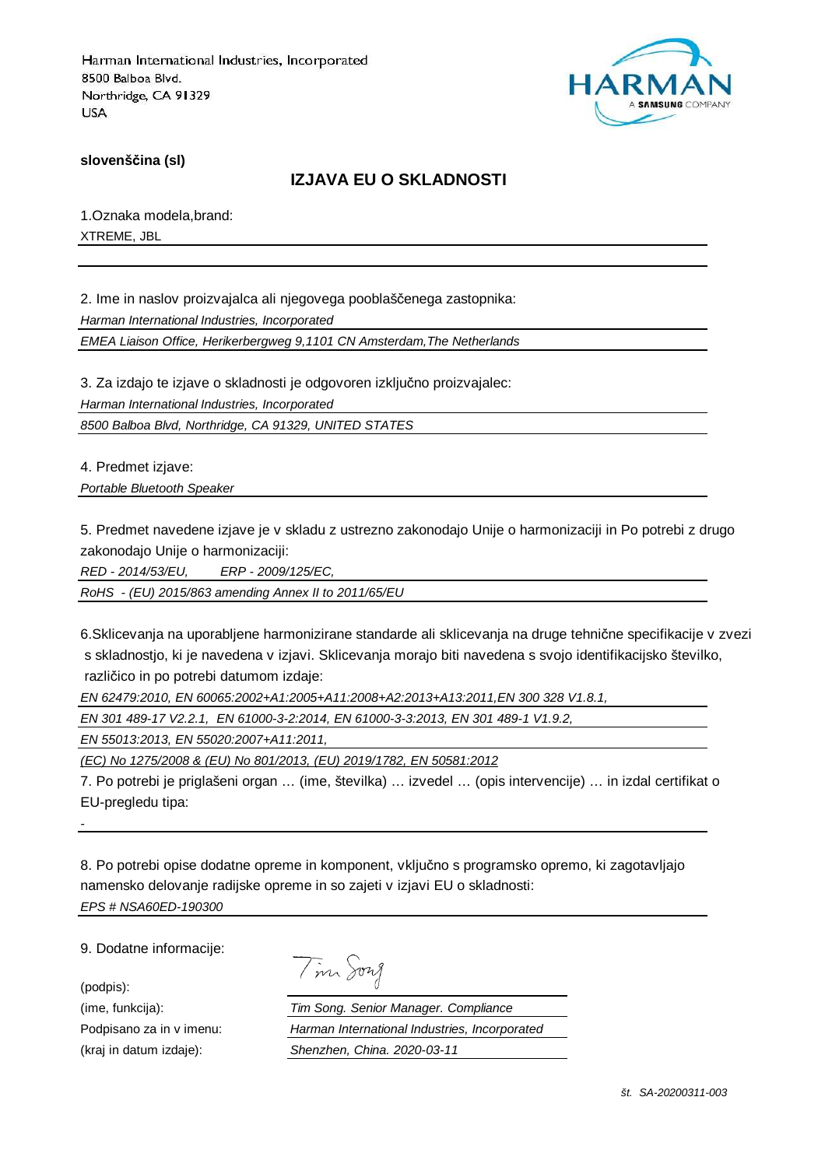

**slovenščina (sl)**

## **IZJAVA EU O SKLADNOSTI**

1.Oznaka modela,brand: XTREME, JBL

2. Ime in naslov proizvajalca ali njegovega pooblaščenega zastopnika: Harman International Industries, Incorporated

EMEA Liaison Office, Herikerbergweg 9,1101 CN Amsterdam,The Netherlands

3. Za izdajo te izjave o skladnosti je odgovoren izključno proizvajalec: Harman International Industries, Incorporated 8500 Balboa Blvd, Northridge, CA 91329, UNITED STATES

4. Predmet izjave:

Portable Bluetooth Speaker

5. Predmet navedene izjave je v skladu z ustrezno zakonodajo Unije o harmonizaciji in Po potrebi z drugo zakonodajo Unije o harmonizaciji:

RED - 2014/53/EU, ERP - 2009/125/EC,

RoHS - (EU) 2015/863 amending Annex II to 2011/65/EU

6.Sklicevanja na uporabljene harmonizirane standarde ali sklicevanja na druge tehnične specifikacije v zvezi s skladnostjo, ki je navedena v izjavi. Sklicevanja morajo biti navedena s svojo identifikacijsko številko, različico in po potrebi datumom izdaje:

EN 62479:2010, EN 60065:2002+A1:2005+A11:2008+A2:2013+A13:2011,EN 300 328 V1.8.1,

EN 301 489-17 V2.2.1, EN 61000-3-2:2014, EN 61000-3-3:2013, EN 301 489-1 V1.9.2,

EN 55013:2013, EN 55020:2007+A11:2011,

(EC) No 1275/2008 & (EU) No 801/2013, (EU) 2019/1782, EN 50581:2012

7. Po potrebi je priglašeni organ … (ime, številka) … izvedel … (opis intervencije) … in izdal certifikat o EU-pregledu tipa:

8. Po potrebi opise dodatne opreme in komponent, vključno s programsko opremo, ki zagotavljajo namensko delovanje radijske opreme in so zajeti v izjavi EU o skladnosti: EPS # NSA60ED-190300

9. Dodatne informacije:

(podpis):

-

Tim Song

(ime, funkcija): Tim Song. Senior Manager. Compliance Podpisano za in v imenu: Harman International Industries, Incorporated (kraj in datum izdaje): Shenzhen, China. 2020-03-11